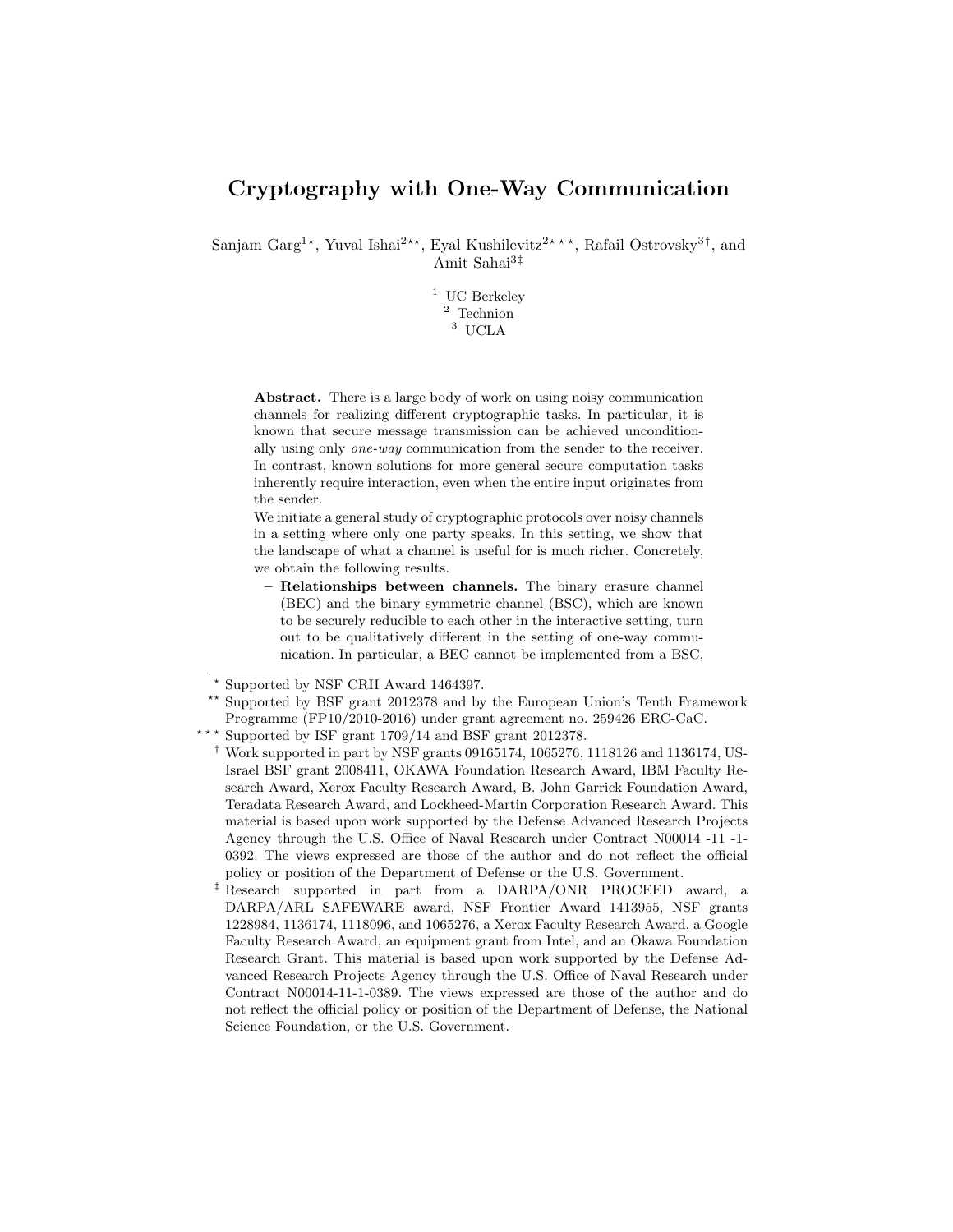## Cryptography with One-Way Communication

Sanjam Garg<sup>1\*</sup>, Yuval Ishai<sup>2\*\*</sup>, Eyal Kushilevitz<sup>2\*\*\*</sup>, Rafail Ostrovsky<sup>3†</sup>, and Amit Sahai3‡

> <sup>1</sup> UC Berkeley  $^{\rm 2}$  Technion <sup>3</sup> UCLA

Abstract. There is a large body of work on using noisy communication channels for realizing different cryptographic tasks. In particular, it is known that secure message transmission can be achieved unconditionally using only one-way communication from the sender to the receiver. In contrast, known solutions for more general secure computation tasks inherently require interaction, even when the entire input originates from the sender.

We initiate a general study of cryptographic protocols over noisy channels in a setting where only one party speaks. In this setting, we show that the landscape of what a channel is useful for is much richer. Concretely, we obtain the following results.

– Relationships between channels. The binary erasure channel (BEC) and the binary symmetric channel (BSC), which are known to be securely reducible to each other in the interactive setting, turn out to be qualitatively different in the setting of one-way communication. In particular, a BEC cannot be implemented from a BSC,

- \*\* Supported by BSF grant 2012378 and by the European Union's Tenth Framework Programme (FP10/2010-2016) under grant agreement no. 259426 ERC-CaC.
- $^{\star\;\star\;\star}$  Supported by ISF grant 1709/14 and BSF grant 2012378.
	- † Work supported in part by NSF grants 09165174, 1065276, 1118126 and 1136174, US-Israel BSF grant 2008411, OKAWA Foundation Research Award, IBM Faculty Research Award, Xerox Faculty Research Award, B. John Garrick Foundation Award, Teradata Research Award, and Lockheed-Martin Corporation Research Award. This material is based upon work supported by the Defense Advanced Research Projects Agency through the U.S. Office of Naval Research under Contract N00014 -11 -1- 0392. The views expressed are those of the author and do not reflect the official policy or position of the Department of Defense or the U.S. Government.
	- ‡ Research supported in part from a DARPA/ONR PROCEED award, a DARPA/ARL SAFEWARE award, NSF Frontier Award 1413955, NSF grants 1228984, 1136174, 1118096, and 1065276, a Xerox Faculty Research Award, a Google Faculty Research Award, an equipment grant from Intel, and an Okawa Foundation Research Grant. This material is based upon work supported by the Defense Advanced Research Projects Agency through the U.S. Office of Naval Research under Contract N00014-11-1-0389. The views expressed are those of the author and do not reflect the official policy or position of the Department of Defense, the National Science Foundation, or the U.S. Government.

<sup>?</sup> Supported by NSF CRII Award 1464397.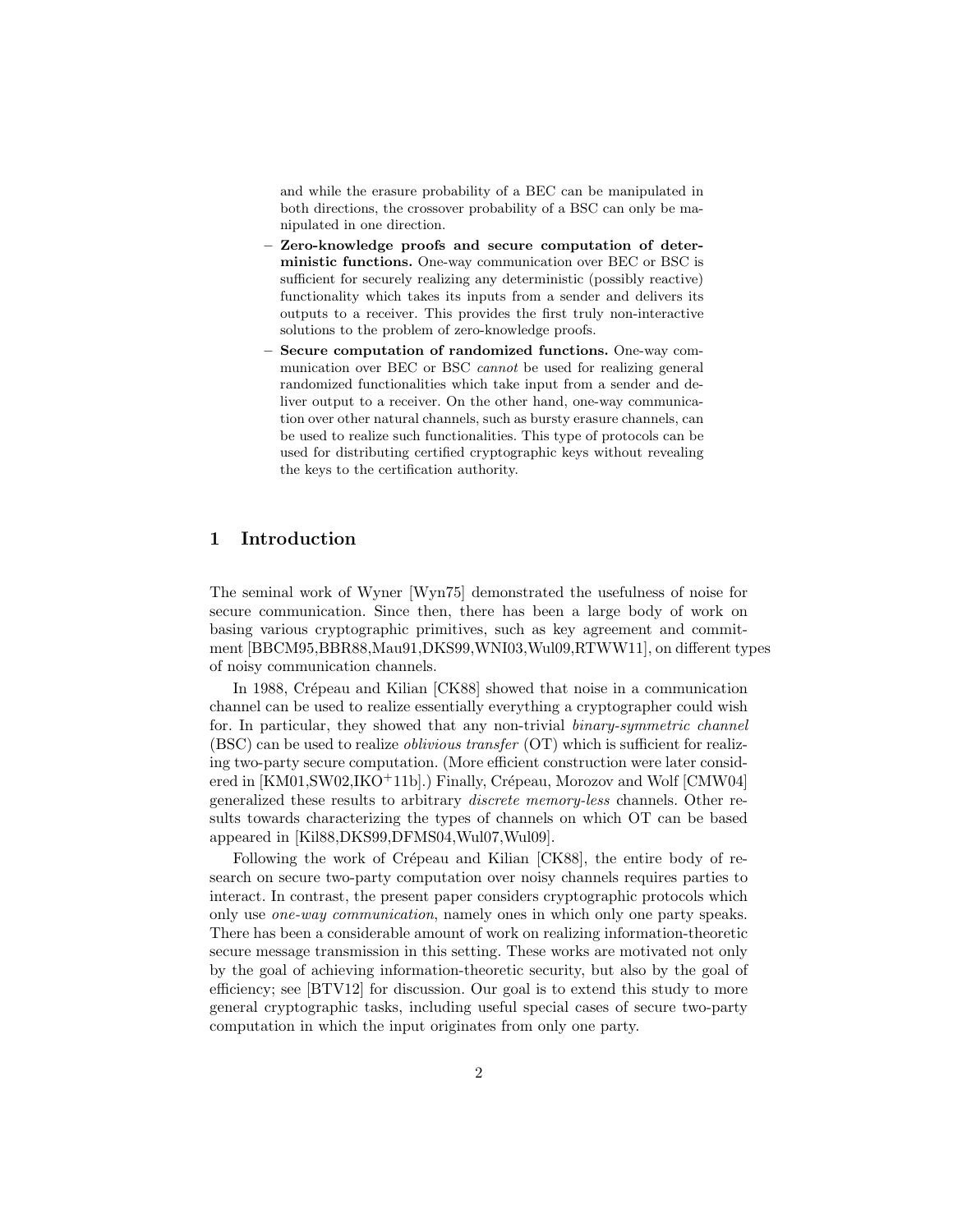and while the erasure probability of a BEC can be manipulated in both directions, the crossover probability of a BSC can only be manipulated in one direction.

- Zero-knowledge proofs and secure computation of deterministic functions. One-way communication over BEC or BSC is sufficient for securely realizing any deterministic (possibly reactive) functionality which takes its inputs from a sender and delivers its outputs to a receiver. This provides the first truly non-interactive solutions to the problem of zero-knowledge proofs.
- Secure computation of randomized functions. One-way communication over BEC or BSC cannot be used for realizing general randomized functionalities which take input from a sender and deliver output to a receiver. On the other hand, one-way communication over other natural channels, such as bursty erasure channels, can be used to realize such functionalities. This type of protocols can be used for distributing certified cryptographic keys without revealing the keys to the certification authority.

## 1 Introduction

The seminal work of Wyner [Wyn75] demonstrated the usefulness of noise for secure communication. Since then, there has been a large body of work on basing various cryptographic primitives, such as key agreement and commitment [BBCM95,BBR88,Mau91,DKS99,WNI03,Wul09,RTWW11], on different types of noisy communication channels.

In 1988, Crépeau and Kilian [CK88] showed that noise in a communication channel can be used to realize essentially everything a cryptographer could wish for. In particular, they showed that any non-trivial binary-symmetric channel (BSC) can be used to realize oblivious transfer (OT) which is sufficient for realizing two-party secure computation. (More efficient construction were later considered in [KM01,SW02,IKO<sup>+</sup>11b].) Finally, Crépeau, Morozov and Wolf [CMW04] generalized these results to arbitrary discrete memory-less channels. Other results towards characterizing the types of channels on which OT can be based appeared in [Kil88,DKS99,DFMS04,Wul07,Wul09].

Following the work of Crépeau and Kilian [CK88], the entire body of research on secure two-party computation over noisy channels requires parties to interact. In contrast, the present paper considers cryptographic protocols which only use one-way communication, namely ones in which only one party speaks. There has been a considerable amount of work on realizing information-theoretic secure message transmission in this setting. These works are motivated not only by the goal of achieving information-theoretic security, but also by the goal of efficiency; see [BTV12] for discussion. Our goal is to extend this study to more general cryptographic tasks, including useful special cases of secure two-party computation in which the input originates from only one party.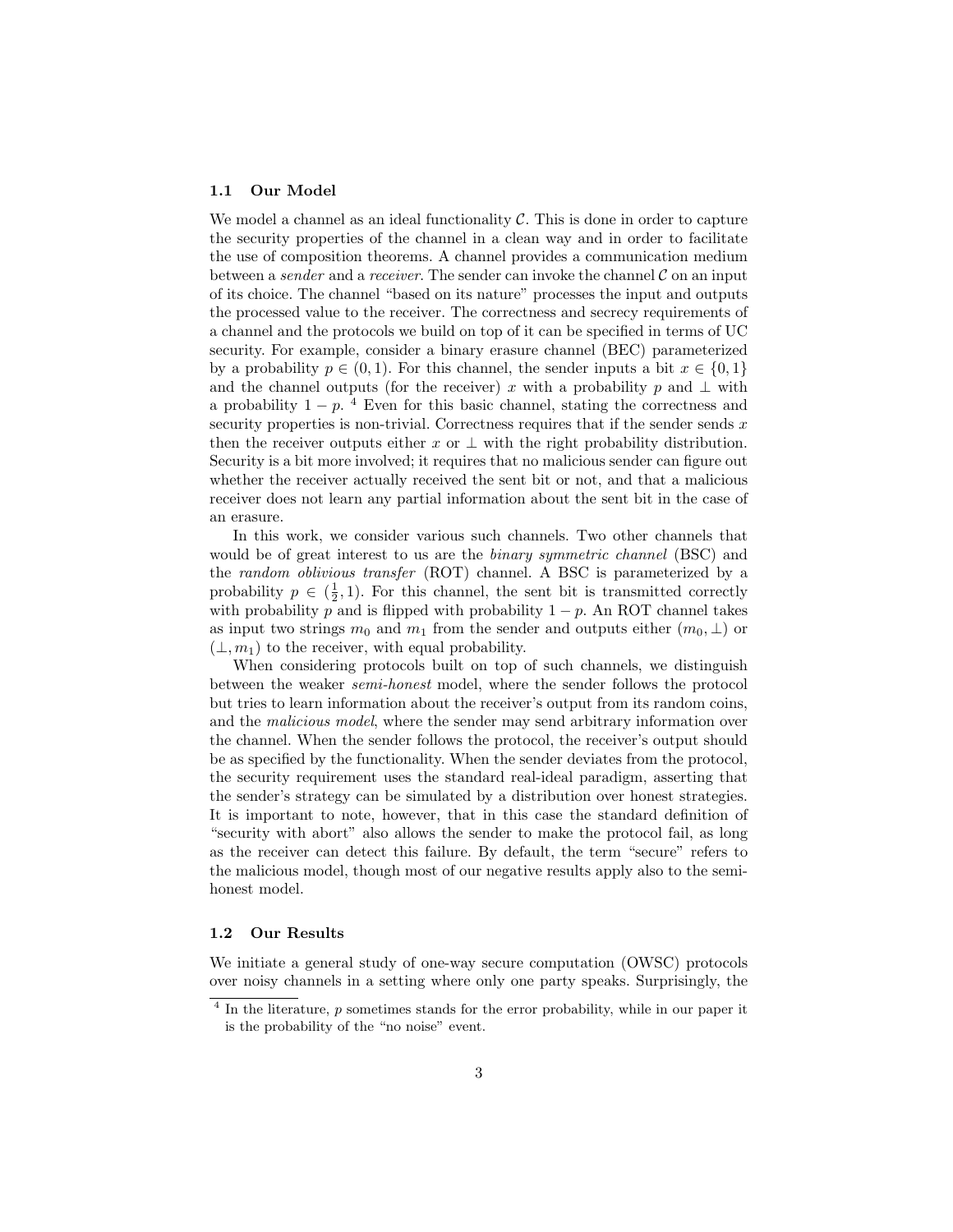#### 1.1 Our Model

We model a channel as an ideal functionality  $\mathcal{C}$ . This is done in order to capture the security properties of the channel in a clean way and in order to facilitate the use of composition theorems. A channel provides a communication medium between a *sender* and a *receiver*. The sender can invoke the channel  $\mathcal C$  on an input of its choice. The channel "based on its nature" processes the input and outputs the processed value to the receiver. The correctness and secrecy requirements of a channel and the protocols we build on top of it can be specified in terms of UC security. For example, consider a binary erasure channel (BEC) parameterized by a probability  $p \in (0,1)$ . For this channel, the sender inputs a bit  $x \in \{0,1\}$ and the channel outputs (for the receiver) x with a probability p and  $\perp$  with a probability  $1 - p$ . <sup>4</sup> Even for this basic channel, stating the correctness and security properties is non-trivial. Correctness requires that if the sender sends  $x$ then the receiver outputs either x or  $\perp$  with the right probability distribution. Security is a bit more involved; it requires that no malicious sender can figure out whether the receiver actually received the sent bit or not, and that a malicious receiver does not learn any partial information about the sent bit in the case of an erasure.

In this work, we consider various such channels. Two other channels that would be of great interest to us are the *binary symmetric channel* (BSC) and the random oblivious transfer (ROT) channel. A BSC is parameterized by a probability  $p \in (\frac{1}{2}, 1)$ . For this channel, the sent bit is transmitted correctly with probability p and is flipped with probability  $1 - p$ . An ROT channel takes as input two strings  $m_0$  and  $m_1$  from the sender and outputs either  $(m_0, \perp)$  or  $(\perp, m_1)$  to the receiver, with equal probability.

When considering protocols built on top of such channels, we distinguish between the weaker semi-honest model, where the sender follows the protocol but tries to learn information about the receiver's output from its random coins, and the *malicious model*, where the sender may send arbitrary information over the channel. When the sender follows the protocol, the receiver's output should be as specified by the functionality. When the sender deviates from the protocol, the security requirement uses the standard real-ideal paradigm, asserting that the sender's strategy can be simulated by a distribution over honest strategies. It is important to note, however, that in this case the standard definition of "security with abort" also allows the sender to make the protocol fail, as long as the receiver can detect this failure. By default, the term "secure" refers to the malicious model, though most of our negative results apply also to the semihonest model.

#### 1.2 Our Results

We initiate a general study of one-way secure computation (OWSC) protocols over noisy channels in a setting where only one party speaks. Surprisingly, the

 $<sup>4</sup>$  In the literature, p sometimes stands for the error probability, while in our paper it</sup> is the probability of the "no noise" event.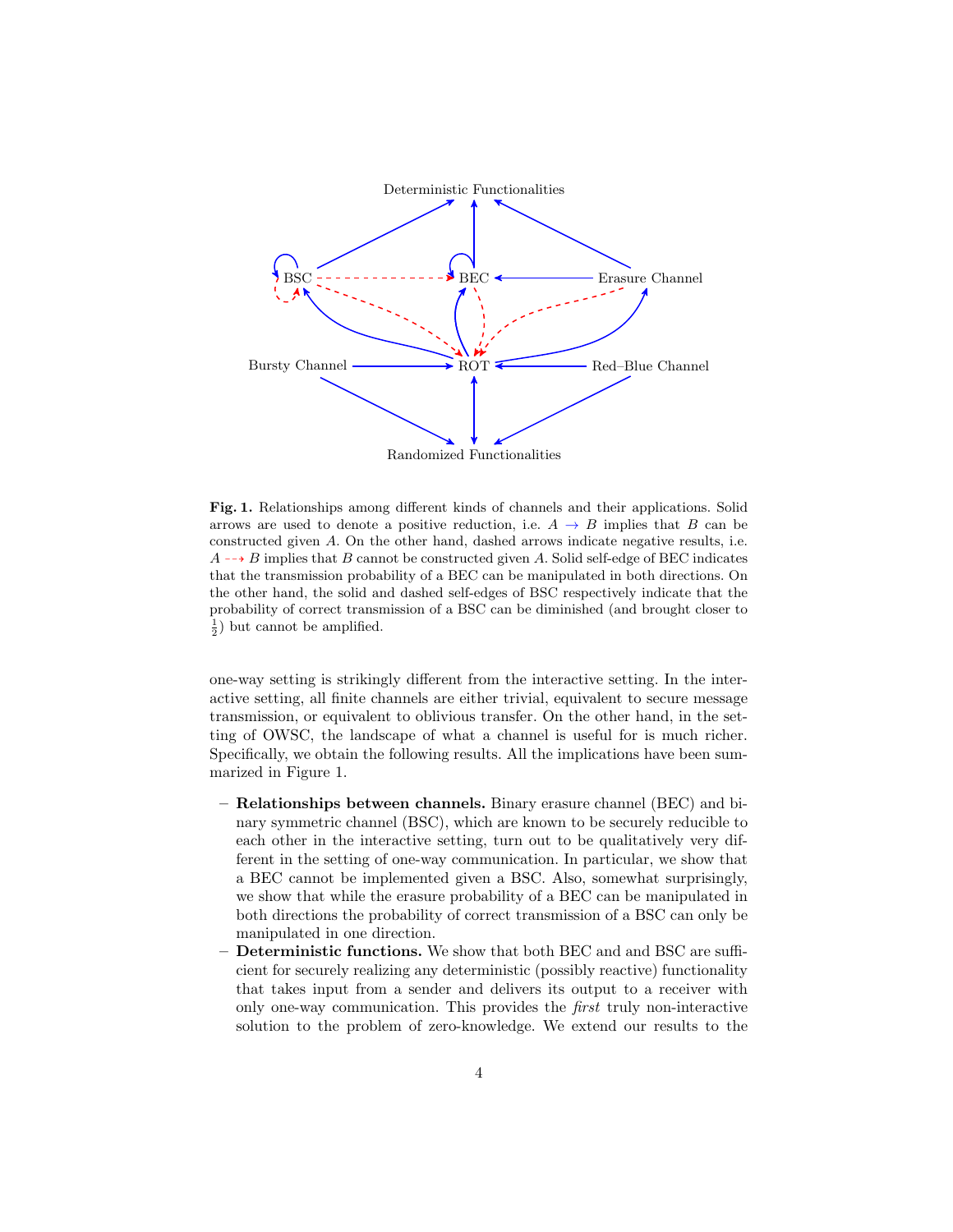

Fig. 1. Relationships among different kinds of channels and their applications. Solid arrows are used to denote a positive reduction, i.e.  $A \rightarrow B$  implies that B can be constructed given A. On the other hand, dashed arrows indicate negative results, i.e.  $A \rightarrow B$  implies that B cannot be constructed given A. Solid self-edge of BEC indicates that the transmission probability of a BEC can be manipulated in both directions. On the other hand, the solid and dashed self-edges of BSC respectively indicate that the probability of correct transmission of a BSC can be diminished (and brought closer to  $(\frac{1}{2})$  but cannot be amplified.

one-way setting is strikingly different from the interactive setting. In the interactive setting, all finite channels are either trivial, equivalent to secure message transmission, or equivalent to oblivious transfer. On the other hand, in the setting of OWSC, the landscape of what a channel is useful for is much richer. Specifically, we obtain the following results. All the implications have been summarized in Figure 1.

- Relationships between channels. Binary erasure channel (BEC) and binary symmetric channel (BSC), which are known to be securely reducible to each other in the interactive setting, turn out to be qualitatively very different in the setting of one-way communication. In particular, we show that a BEC cannot be implemented given a BSC. Also, somewhat surprisingly, we show that while the erasure probability of a BEC can be manipulated in both directions the probability of correct transmission of a BSC can only be manipulated in one direction.
- Deterministic functions. We show that both BEC and and BSC are sufficient for securely realizing any deterministic (possibly reactive) functionality that takes input from a sender and delivers its output to a receiver with only one-way communication. This provides the first truly non-interactive solution to the problem of zero-knowledge. We extend our results to the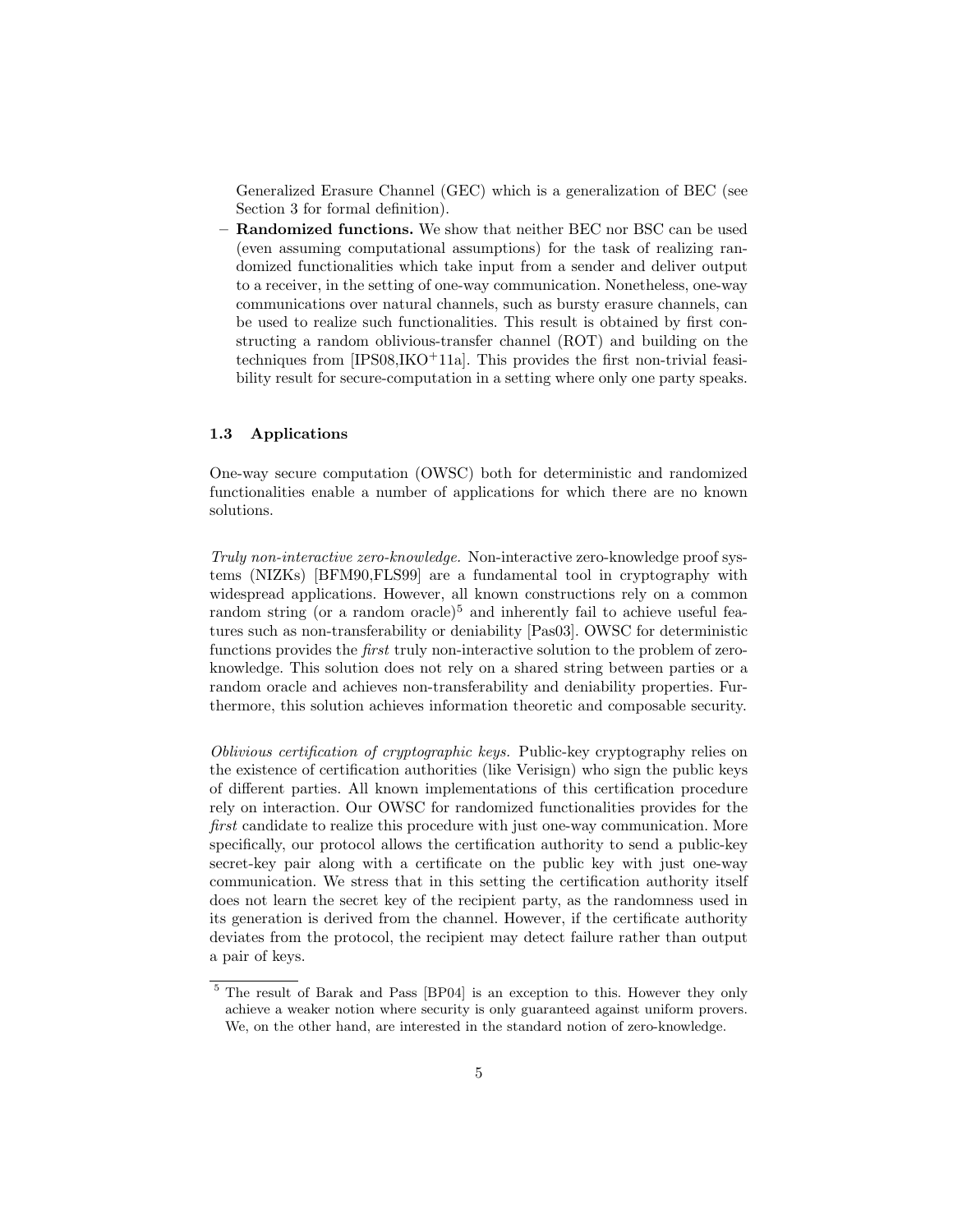Generalized Erasure Channel (GEC) which is a generalization of BEC (see Section 3 for formal definition).

– Randomized functions. We show that neither BEC nor BSC can be used (even assuming computational assumptions) for the task of realizing randomized functionalities which take input from a sender and deliver output to a receiver, in the setting of one-way communication. Nonetheless, one-way communications over natural channels, such as bursty erasure channels, can be used to realize such functionalities. This result is obtained by first constructing a random oblivious-transfer channel (ROT) and building on the techniques from [IPS08,IKO+11a]. This provides the first non-trivial feasibility result for secure-computation in a setting where only one party speaks.

#### 1.3 Applications

One-way secure computation (OWSC) both for deterministic and randomized functionalities enable a number of applications for which there are no known solutions.

Truly non-interactive zero-knowledge. Non-interactive zero-knowledge proof systems (NIZKs) [BFM90,FLS99] are a fundamental tool in cryptography with widespread applications. However, all known constructions rely on a common random string (or a random oracle)<sup>5</sup> and inherently fail to achieve useful features such as non-transferability or deniability [Pas03]. OWSC for deterministic functions provides the first truly non-interactive solution to the problem of zeroknowledge. This solution does not rely on a shared string between parties or a random oracle and achieves non-transferability and deniability properties. Furthermore, this solution achieves information theoretic and composable security.

Oblivious certification of cryptographic keys. Public-key cryptography relies on the existence of certification authorities (like Verisign) who sign the public keys of different parties. All known implementations of this certification procedure rely on interaction. Our OWSC for randomized functionalities provides for the first candidate to realize this procedure with just one-way communication. More specifically, our protocol allows the certification authority to send a public-key secret-key pair along with a certificate on the public key with just one-way communication. We stress that in this setting the certification authority itself does not learn the secret key of the recipient party, as the randomness used in its generation is derived from the channel. However, if the certificate authority deviates from the protocol, the recipient may detect failure rather than output a pair of keys.

<sup>5</sup> The result of Barak and Pass [BP04] is an exception to this. However they only achieve a weaker notion where security is only guaranteed against uniform provers. We, on the other hand, are interested in the standard notion of zero-knowledge.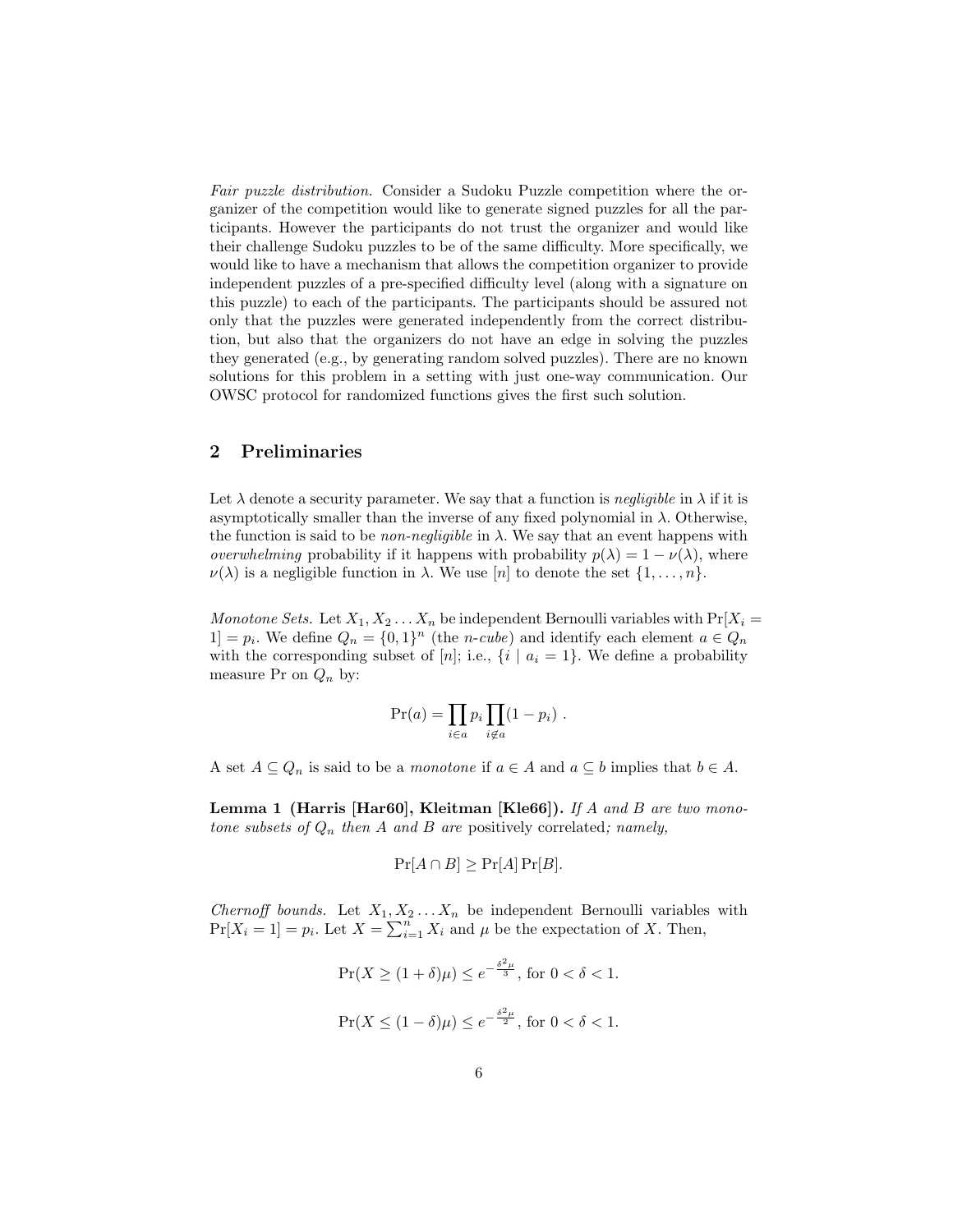Fair puzzle distribution. Consider a Sudoku Puzzle competition where the organizer of the competition would like to generate signed puzzles for all the participants. However the participants do not trust the organizer and would like their challenge Sudoku puzzles to be of the same difficulty. More specifically, we would like to have a mechanism that allows the competition organizer to provide independent puzzles of a pre-specified difficulty level (along with a signature on this puzzle) to each of the participants. The participants should be assured not only that the puzzles were generated independently from the correct distribution, but also that the organizers do not have an edge in solving the puzzles they generated (e.g., by generating random solved puzzles). There are no known solutions for this problem in a setting with just one-way communication. Our OWSC protocol for randomized functions gives the first such solution.

## 2 Preliminaries

Let  $\lambda$  denote a security parameter. We say that a function is *negligible* in  $\lambda$  if it is asymptotically smaller than the inverse of any fixed polynomial in  $\lambda$ . Otherwise, the function is said to be *non-negligible* in  $\lambda$ . We say that an event happens with *overwhelming* probability if it happens with probability  $p(\lambda) = 1 - \nu(\lambda)$ , where  $\nu(\lambda)$  is a negligible function in  $\lambda$ . We use  $[n]$  to denote the set  $\{1, \ldots, n\}$ .

*Monotone Sets.* Let  $X_1, X_2, \ldots, X_n$  be independent Bernoulli variables with  $Pr[X_i =$  $[1] = p_i$ . We define  $Q_n = \{0, 1\}^n$  (the *n-cube*) and identify each element  $a \in Q_n$ with the corresponding subset of [n]; i.e.,  $\{i \mid a_i = 1\}$ . We define a probability measure Pr on  $Q_n$  by:

$$
\Pr(a) = \prod_{i \in a} p_i \prod_{i \notin a} (1 - p_i) \; .
$$

A set  $A \subseteq Q_n$  is said to be a *monotone* if  $a \in A$  and  $a \subseteq b$  implies that  $b \in A$ .

**Lemma 1 (Harris [Har60], Kleitman [Kle66]).** If A and B are two monotone subsets of  $Q_n$  then A and B are positively correlated; namely,

$$
\Pr[A \cap B] \ge \Pr[A] \Pr[B].
$$

*Chernoff bounds.* Let  $X_1, X_2, \ldots, X_n$  be independent Bernoulli variables with  $Pr[X_i = 1] = p_i$ . Let  $X = \sum_{i=1}^n X_i$  and  $\mu$  be the expectation of X. Then,

$$
\Pr(X \ge (1+\delta)\mu) \le e^{-\frac{\delta^2 \mu}{3}}, \text{ for } 0 < \delta < 1.
$$
  

$$
\Pr(X \le (1-\delta)\mu) \le e^{-\frac{\delta^2 \mu}{2}}, \text{ for } 0 < \delta < 1.
$$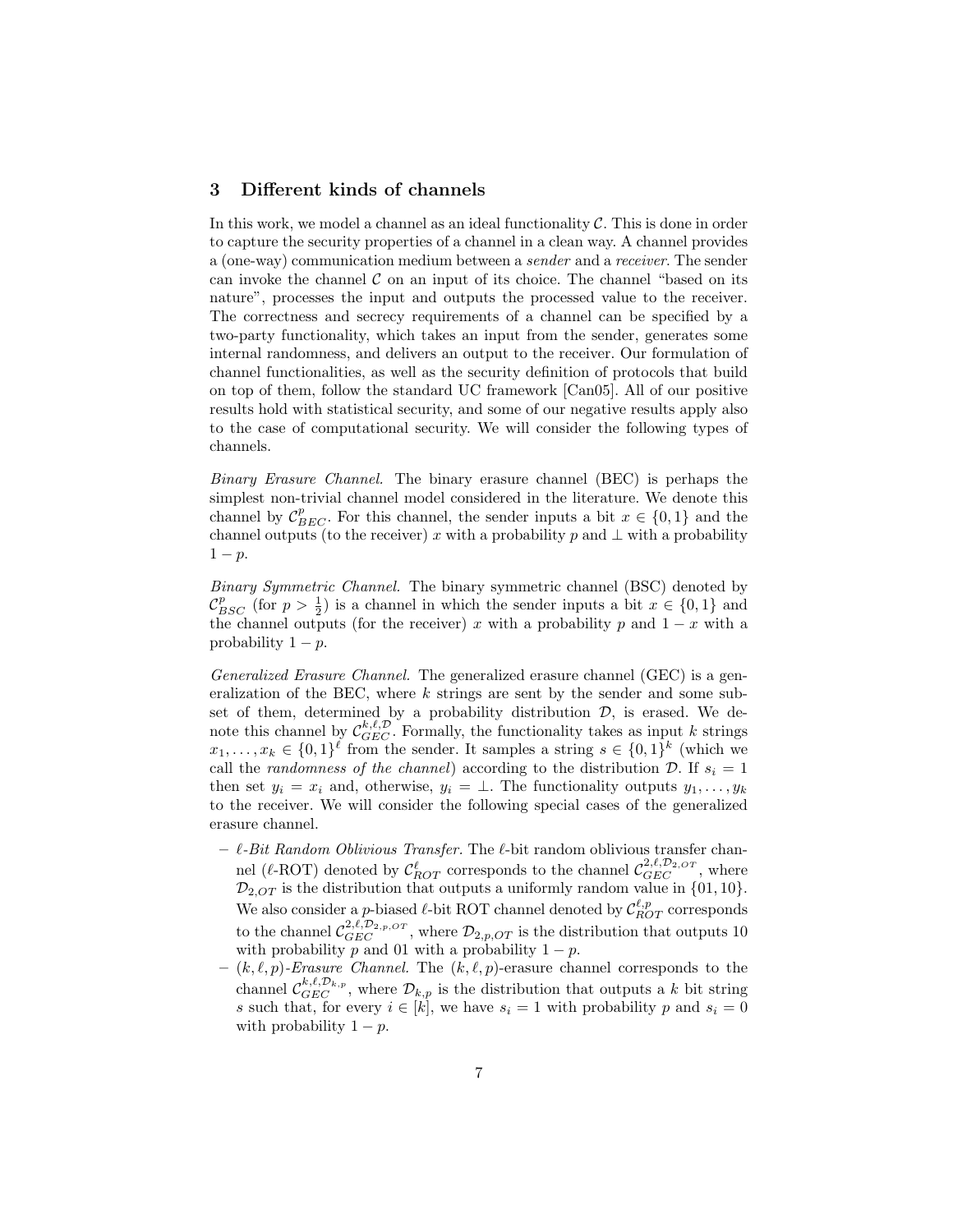## 3 Different kinds of channels

In this work, we model a channel as an ideal functionality  $C$ . This is done in order to capture the security properties of a channel in a clean way. A channel provides a (one-way) communication medium between a sender and a receiver. The sender can invoke the channel  $\mathcal C$  on an input of its choice. The channel "based on its nature", processes the input and outputs the processed value to the receiver. The correctness and secrecy requirements of a channel can be specified by a two-party functionality, which takes an input from the sender, generates some internal randomness, and delivers an output to the receiver. Our formulation of channel functionalities, as well as the security definition of protocols that build on top of them, follow the standard UC framework [Can05]. All of our positive results hold with statistical security, and some of our negative results apply also to the case of computational security. We will consider the following types of channels.

Binary Erasure Channel. The binary erasure channel (BEC) is perhaps the simplest non-trivial channel model considered in the literature. We denote this channel by  $C_{BEC}^p$ . For this channel, the sender inputs a bit  $x \in \{0,1\}$  and the channel outputs (to the receiver) x with a probability p and  $\perp$  with a probability  $1-p$ .

Binary Symmetric Channel. The binary symmetric channel (BSC) denoted by  $\mathcal{C}_{BSC}^{p}$  (for  $p > \frac{1}{2}$ ) is a channel in which the sender inputs a bit  $x \in \{0,1\}$  and the channel outputs (for the receiver) x with a probability p and  $1 - x$  with a probability  $1 - p$ .

Generalized Erasure Channel. The generalized erasure channel (GEC) is a generalization of the BEC, where  $k$  strings are sent by the sender and some subset of them, determined by a probability distribution  $D$ , is erased. We denote this channel by  $\mathcal{C}_{GEC}^{k,\ell,\mathcal{D}}$ . Formally, the functionality takes as input k strings  $x_1, \ldots, x_k \in \{0,1\}^{\ell}$  from the sender. It samples a string  $s \in \{0,1\}^k$  (which we call the *randomness of the channel*) according to the distribution  $D$ . If  $s_i = 1$ then set  $y_i = x_i$  and, otherwise,  $y_i = \perp$ . The functionality outputs  $y_1, \ldots, y_k$ to the receiver. We will consider the following special cases of the generalized erasure channel.

- $\ell$ -Bit Random Oblivious Transfer. The  $\ell$ -bit random oblivious transfer channel ( $\ell$ -ROT) denoted by  $\mathcal{C}_{ROT}^{\ell}$  corresponds to the channel  $\mathcal{C}_{GEC}^{2,\ell,\mathcal{D}_2,\mathit{OT}}$ , where  $\mathcal{D}_{2,OT}$  is the distribution that outputs a uniformly random value in  $\{01, 10\}.$ We also consider a *p*-biased  $\ell$ -bit ROT channel denoted by  $\mathcal{C}_{ROT}^{\ell,p}$  corresponds to the channel  $\mathcal{C}_{GEC}^{2,\ell,\mathcal{D}_{2,p,\mathcal{O}T}}$ , where  $\mathcal{D}_{2,p,\mathcal{O}T}$  is the distribution that outputs 10 with probability p and 01 with a probability  $1 - p$ .
- $-(k, \ell, p)$ -Erasure Channel. The  $(k, \ell, p)$ -erasure channel corresponds to the channel  $\mathcal{C}_{GEC}^{k,\ell,\mathcal{D}_{k,p}}$ , where  $\mathcal{D}_{k,p}$  is the distribution that outputs a k bit string s such that, for every  $i \in [k]$ , we have  $s_i = 1$  with probability p and  $s_i = 0$ with probability  $1 - p$ .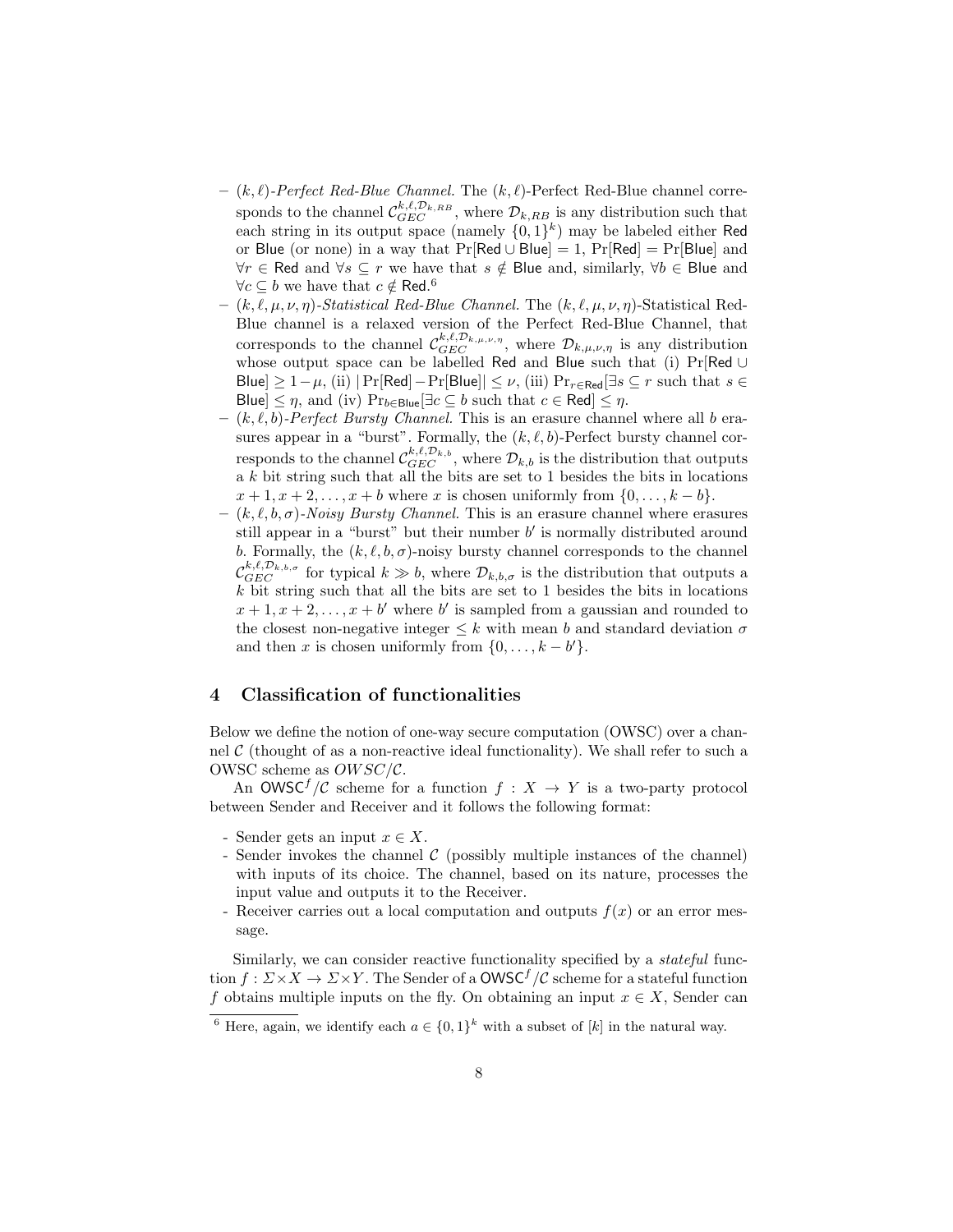- $(k, \ell)$ -Perfect Red-Blue Channel. The  $(k, \ell)$ -Perfect Red-Blue channel corresponds to the channel  $\mathcal{C}_{GEC}^{k,\ell,\mathcal{D}_{k,RB}}$ , where  $\mathcal{D}_{k,RB}$  is any distribution such that each string in its output space (namely  $\{0,1\}^k$ ) may be labeled either Red or Blue (or none) in a way that  $Pr[Red \cup Blue] = 1, Pr[Red] = Pr[Blue]$  and  $\forall r \in \text{Red}$  and  $\forall s \subseteq r$  we have that  $s \notin \text{Blue}$  and, similarly,  $\forall b \in \text{Blue}$  and  $\forall c \subseteq b$  we have that  $c \notin \textsf{Red}.^6$
- $-(k, \ell, \mu, \nu, \eta)$ -Statistical Red-Blue Channel. The  $(k, \ell, \mu, \nu, \eta)$ -Statistical Red-Blue channel is a relaxed version of the Perfect Red-Blue Channel, that corresponds to the channel  $\mathcal{C}_{GEC}^{k,\ell,\mathcal{D}_{k,\mu,\nu,\eta}}$ , where  $\mathcal{D}_{k,\mu,\nu,\eta}$  is any distribution whose output space can be labelled Red and Blue such that (i) Pr[Red ∪ Blue]  $\geq 1-\mu$ , (ii)  $|\Pr[\text{Red}]-\Pr[\text{Blue}]| \leq \nu$ , (iii)  $\Pr_{r \in \text{Red}}[\exists s \subseteq r \text{ such that } s \in$ Blue]  $\leq \eta$ , and (iv)  $Pr_{b \in Blue}[\exists c \subseteq b \text{ such that } c \in Red] \leq \eta$ .
- $(k, l, b)$ -Perfect Bursty Channel. This is an erasure channel where all b erasures appear in a "burst". Formally, the  $(k, \ell, b)$ -Perfect bursty channel corresponds to the channel  $\mathcal{C}_{GEC}^{k,\ell,\mathcal{D}_{k,b}}$ , where  $\mathcal{D}_{k,b}$  is the distribution that outputs a  $k$  bit string such that all the bits are set to 1 besides the bits in locations  $x+1, x+2, \ldots, x+b$  where x is chosen uniformly from  $\{0, \ldots, k-b\}.$
- $-(k, \ell, b, \sigma)$ -Noisy Bursty Channel. This is an erasure channel where erasures still appear in a "burst" but their number  $b'$  is normally distributed around b. Formally, the  $(k, \ell, b, \sigma)$ -noisy bursty channel corresponds to the channel  $\mathcal{C}_{GEC}^{k,\ell,\mathcal{D}_{k,b,\sigma}}$  for typical  $k \gg b$ , where  $\mathcal{D}_{k,b,\sigma}$  is the distribution that outputs a  $k$  bit string such that all the bits are set to 1 besides the bits in locations  $x+1, x+2, \ldots, x+b'$  where b' is sampled from a gaussian and rounded to the closest non-negative integer  $\leq k$  with mean b and standard deviation  $\sigma$ and then x is chosen uniformly from  $\{0, \ldots, k - b'\}.$

#### 4 Classification of functionalities

Below we define the notion of one-way secure computation (OWSC) over a channel  $\mathcal C$  (thought of as a non-reactive ideal functionality). We shall refer to such a OWSC scheme as  $OWSC/C$ .

An OWSC<sup> $f$ </sup>/C scheme for a function  $f : X \to Y$  is a two-party protocol between Sender and Receiver and it follows the following format:

- Sender gets an input  $x \in X$ .
- Sender invokes the channel  $C$  (possibly multiple instances of the channel) with inputs of its choice. The channel, based on its nature, processes the input value and outputs it to the Receiver.
- Receiver carries out a local computation and outputs  $f(x)$  or an error message.

Similarly, we can consider reactive functionality specified by a stateful function  $f: \Sigma \times X \to \Sigma \times Y$ . The Sender of a  $\mathsf{OWSC}^f/\mathcal{C}$  scheme for a stateful function f obtains multiple inputs on the fly. On obtaining an input  $x \in X$ , Sender can

<sup>&</sup>lt;sup>6</sup> Here, again, we identify each  $a \in \{0,1\}^k$  with a subset of [k] in the natural way.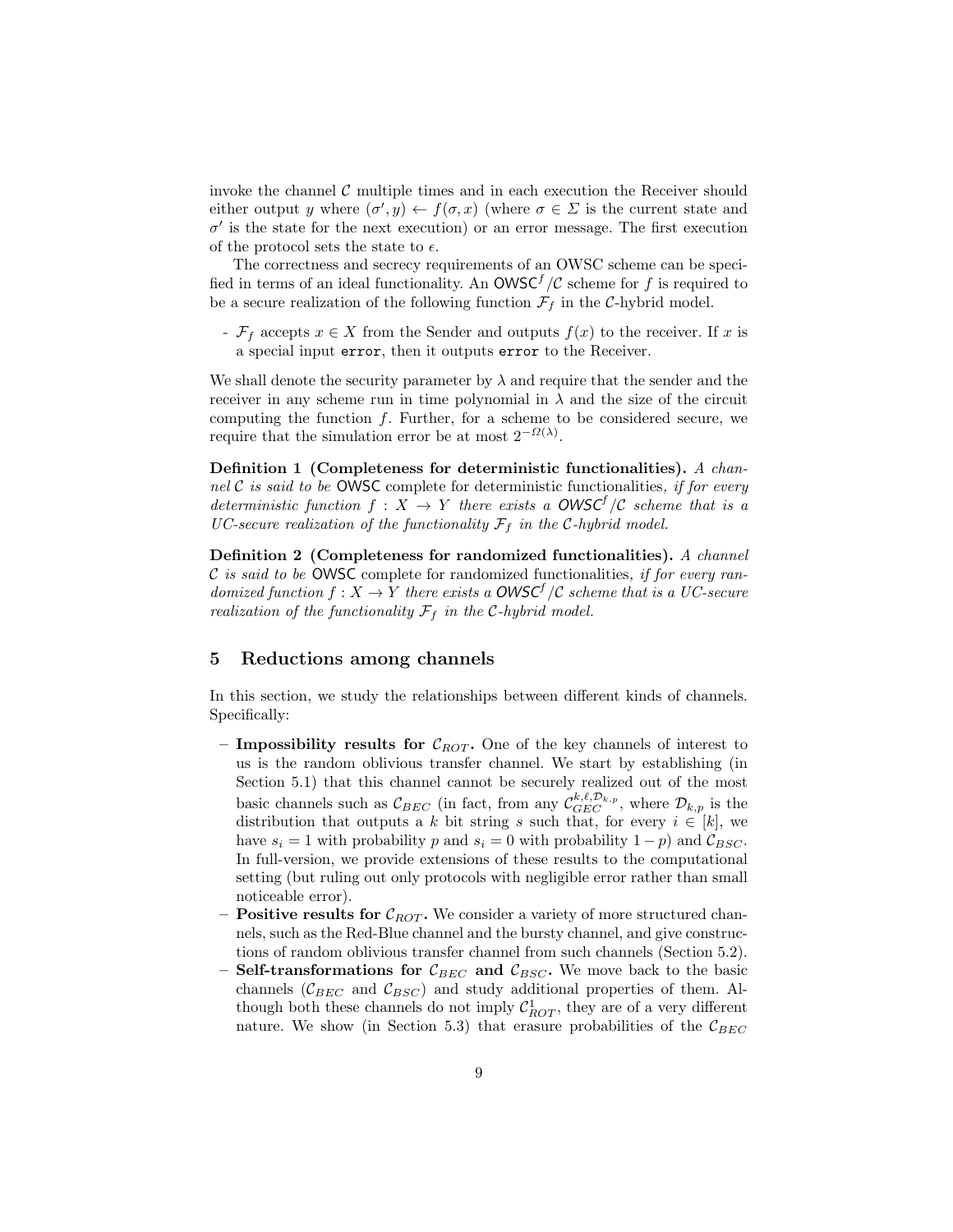invoke the channel  $\mathcal C$  multiple times and in each execution the Receiver should either output y where  $(\sigma', y) \leftarrow f(\sigma, x)$  (where  $\sigma \in \Sigma$  is the current state and  $\sigma'$  is the state for the next execution) or an error message. The first execution of the protocol sets the state to  $\epsilon$ .

The correctness and secrecy requirements of an OWSC scheme can be specified in terms of an ideal functionality. An  $\mathsf{OWSC}^f/\mathcal{C}$  scheme for f is required to be a secure realization of the following function  $\mathcal{F}_f$  in the C-hybrid model.

-  $\mathcal{F}_f$  accepts  $x \in X$  from the Sender and outputs  $f(x)$  to the receiver. If x is a special input error, then it outputs error to the Receiver.

We shall denote the security parameter by  $\lambda$  and require that the sender and the receiver in any scheme run in time polynomial in  $\lambda$  and the size of the circuit computing the function  $f$ . Further, for a scheme to be considered secure, we require that the simulation error be at most  $2^{-\Omega(\lambda)}$ .

Definition 1 (Completeness for deterministic functionalities). A channel  $\mathcal C$  is said to be OWSC complete for deterministic functionalities, if for every deterministic function  $f: X \to Y$  there exists a OWSC<sup>f</sup>/C scheme that is a UC-secure realization of the functionality  $\mathcal{F}_f$  in the C-hybrid model.

Definition 2 (Completeness for randomized functionalities). A channel  $\mathcal C$  is said to be OWSC complete for randomized functionalities, if for every randomized function  $f: X \to Y$  there exists a OWSC<sup>f</sup> /C scheme that is a UC-secure realization of the functionality  $\mathcal{F}_f$  in the C-hybrid model.

#### 5 Reductions among channels

In this section, we study the relationships between different kinds of channels. Specifically:

- Impossibility results for  $C_{ROT}$ . One of the key channels of interest to us is the random oblivious transfer channel. We start by establishing (in Section 5.1) that this channel cannot be securely realized out of the most basic channels such as  $C_{BEC}$  (in fact, from any  $C_{GEC}^{k,\ell,\mathcal{D}_{k,p}}$ , where  $\mathcal{D}_{k,p}$  is the distribution that outputs a k bit string s such that, for every  $i \in [k]$ , we have  $s_i = 1$  with probability p and  $s_i = 0$  with probability  $1 - p$ ) and  $\mathcal{C}_{BSC}$ . In full-version, we provide extensions of these results to the computational setting (but ruling out only protocols with negligible error rather than small noticeable error).
- Positive results for  $C_{ROT}$ . We consider a variety of more structured channels, such as the Red-Blue channel and the bursty channel, and give constructions of random oblivious transfer channel from such channels (Section 5.2).
- Self-transformations for  $\mathcal{C}_{BEC}$  and  $\mathcal{C}_{BSC}$ . We move back to the basic channels ( $C_{BEC}$  and  $C_{BSC}$ ) and study additional properties of them. Although both these channels do not imply  $C_{ROT}^1$ , they are of a very different nature. We show (in Section 5.3) that erasure probabilities of the  $\mathcal{C}_{BEC}$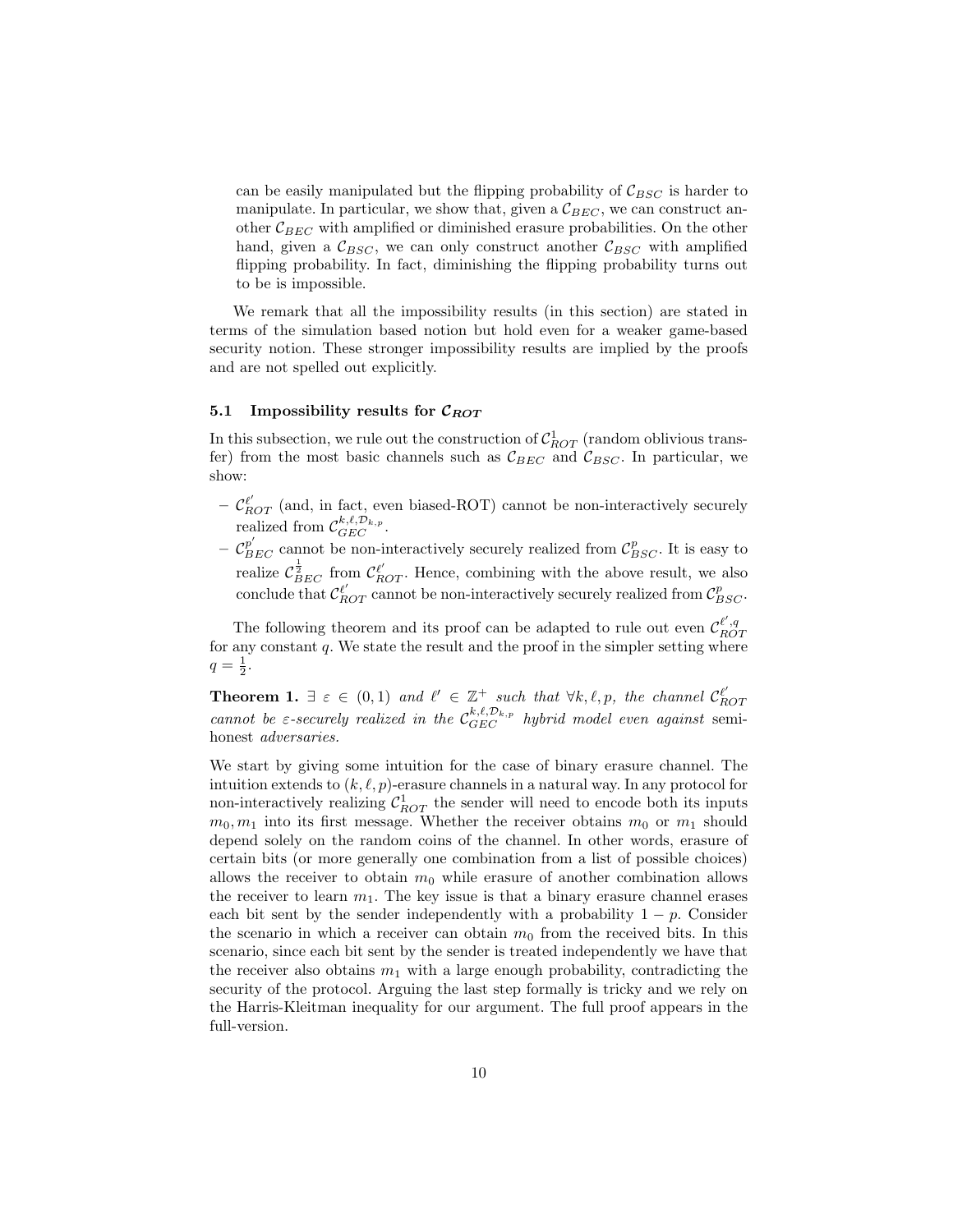can be easily manipulated but the flipping probability of  $\mathcal{C}_{BSC}$  is harder to manipulate. In particular, we show that, given a  $\mathcal{C}_{BEC}$ , we can construct another  $C_{BEC}$  with amplified or diminished erasure probabilities. On the other hand, given a  $\mathcal{C}_{BSC}$ , we can only construct another  $\mathcal{C}_{BSC}$  with amplified flipping probability. In fact, diminishing the flipping probability turns out to be is impossible.

We remark that all the impossibility results (in this section) are stated in terms of the simulation based notion but hold even for a weaker game-based security notion. These stronger impossibility results are implied by the proofs and are not spelled out explicitly.

#### 5.1 Impossibility results for  $C_{ROT}$

In this subsection, we rule out the construction of  $\mathcal{C}_{ROT}^1$  (random oblivious transfer) from the most basic channels such as  $C_{BEC}$  and  $C_{BSC}$ . In particular, we show:

- $\mathcal{C}^{\ell'}_{ROT}$  (and, in fact, even biased-ROT) cannot be non-interactively securely realized from  $\mathcal{C}_{GEC}^{k,\ell,\mathcal{D}_{k,p}}$ .
- $-\mathcal{C}_{BEC}^{p'}$  cannot be non-interactively securely realized from  $\mathcal{C}_{BSC}^{p}$ . It is easy to realize  $\mathcal{C}_{BEC}^{\frac{1}{2}}$  from  $\mathcal{C}_{ROT}^{\ell'}$ . Hence, combining with the above result, we also conclude that  $\mathcal{C}_{ROT}^{\ell'}$  cannot be non-interactively securely realized from  $\mathcal{C}_{BSC}^p$ .

The following theorem and its proof can be adapted to rule out even  $\mathcal{C}_{ROT}^{\ell',q}$ for any constant  $q$ . We state the result and the proof in the simpler setting where  $q=\frac{1}{2}$ .

**Theorem 1.**  $\exists \varepsilon \in (0,1)$  and  $\ell' \in \mathbb{Z}^+$  such that  $\forall k, \ell, p$ , the channel  $\mathcal{C}_{ROT}^{\ell'}$ cannot be  $\varepsilon$ -securely realized in the  $\mathcal{C}_{GEC}^{k,\ell,\mathcal{D}_{k,p}}$  hybrid model even against semihonest adversaries.

We start by giving some intuition for the case of binary erasure channel. The intuition extends to  $(k, \ell, p)$ -erasure channels in a natural way. In any protocol for non-interactively realizing  $C_{ROT}^1$  the sender will need to encode both its inputs  $m_0, m_1$  into its first message. Whether the receiver obtains  $m_0$  or  $m_1$  should depend solely on the random coins of the channel. In other words, erasure of certain bits (or more generally one combination from a list of possible choices) allows the receiver to obtain  $m_0$  while erasure of another combination allows the receiver to learn  $m_1$ . The key issue is that a binary erasure channel erases each bit sent by the sender independently with a probability  $1 - p$ . Consider the scenario in which a receiver can obtain  $m_0$  from the received bits. In this scenario, since each bit sent by the sender is treated independently we have that the receiver also obtains  $m_1$  with a large enough probability, contradicting the security of the protocol. Arguing the last step formally is tricky and we rely on the Harris-Kleitman inequality for our argument. The full proof appears in the full-version.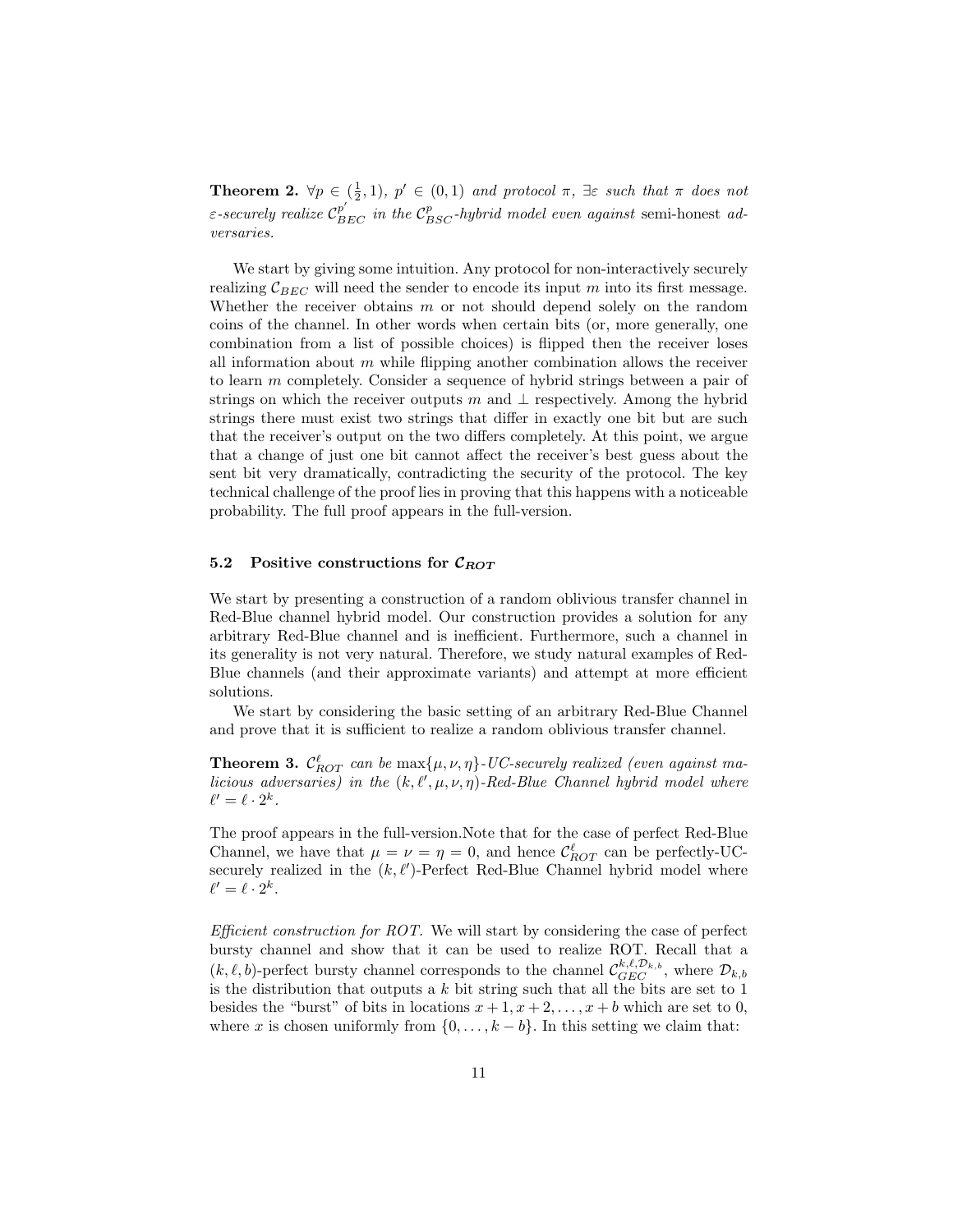**Theorem 2.**  $\forall p \in (\frac{1}{2}, 1), p' \in (0, 1)$  and protocol  $\pi$ ,  $\exists \varepsilon$  such that  $\pi$  does not *ε*-securely realize  $C_{BEC}^{p'}$  in the  $C_{BSC}^{p}$ -hybrid model even against semi-honest adversaries.

We start by giving some intuition. Any protocol for non-interactively securely realizing  $\mathcal{C}_{BEC}$  will need the sender to encode its input m into its first message. Whether the receiver obtains  $m$  or not should depend solely on the random coins of the channel. In other words when certain bits (or, more generally, one combination from a list of possible choices) is flipped then the receiver loses all information about  $m$  while flipping another combination allows the receiver to learn m completely. Consider a sequence of hybrid strings between a pair of strings on which the receiver outputs m and  $\perp$  respectively. Among the hybrid strings there must exist two strings that differ in exactly one bit but are such that the receiver's output on the two differs completely. At this point, we argue that a change of just one bit cannot affect the receiver's best guess about the sent bit very dramatically, contradicting the security of the protocol. The key technical challenge of the proof lies in proving that this happens with a noticeable probability. The full proof appears in the full-version.

#### 5.2 Positive constructions for  $C_{ROT}$

We start by presenting a construction of a random oblivious transfer channel in Red-Blue channel hybrid model. Our construction provides a solution for any arbitrary Red-Blue channel and is inefficient. Furthermore, such a channel in its generality is not very natural. Therefore, we study natural examples of Red-Blue channels (and their approximate variants) and attempt at more efficient solutions.

We start by considering the basic setting of an arbitrary Red-Blue Channel and prove that it is sufficient to realize a random oblivious transfer channel.

**Theorem 3.**  $\mathcal{C}_{ROT}^{\ell}$  can be  $\max\{\mu, \nu, \eta\}$ -UC-securely realized (even against malicious adversaries) in the  $(k, l', \mu, \nu, \eta)$ -Red-Blue Channel hybrid model where  $\ell' = \ell \cdot 2^k$ .

The proof appears in the full-version.Note that for the case of perfect Red-Blue Channel, we have that  $\mu = \nu = \eta = 0$ , and hence  $\mathcal{C}_{ROT}^{\ell}$  can be perfectly-UCsecurely realized in the  $(k, l')$ -Perfect Red-Blue Channel hybrid model where  $\ell' = \ell \cdot 2^k.$ 

Efficient construction for ROT. We will start by considering the case of perfect bursty channel and show that it can be used to realize ROT. Recall that a  $(k, \ell, b)$ -perfect bursty channel corresponds to the channel  $\mathcal{C}_{GEC}^{k, \ell, \mathcal{D}_{k,b}}$ , where  $\mathcal{D}_{k,b}$ is the distribution that outputs a  $k$  bit string such that all the bits are set to 1 besides the "burst" of bits in locations  $x + 1, x + 2, \ldots, x + b$  which are set to 0, where x is chosen uniformly from  $\{0, \ldots, k - b\}$ . In this setting we claim that: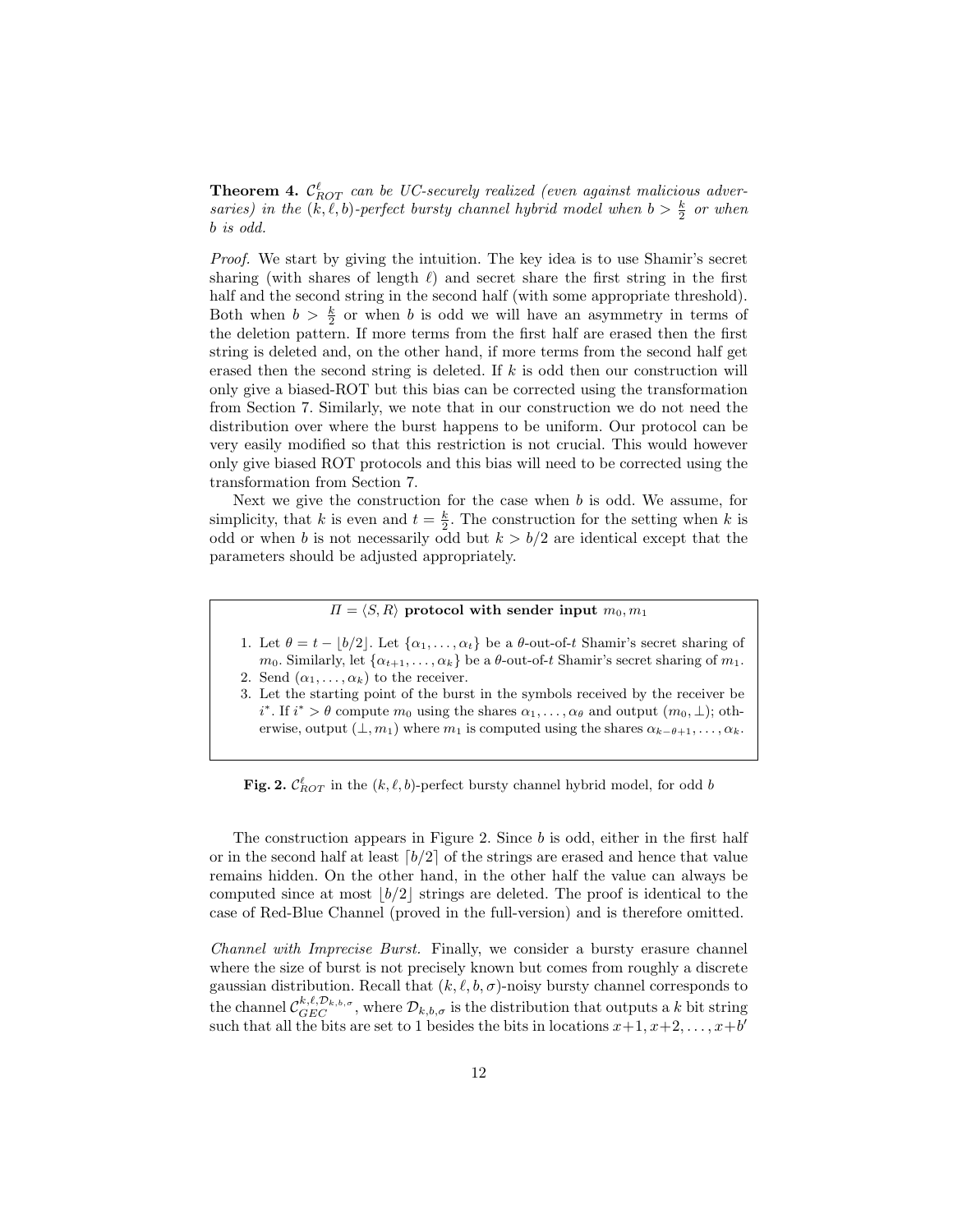**Theorem 4.**  $\mathcal{C}_{ROT}^{\ell}$  can be UC-securely realized (even against malicious adversaries) in the  $(k, \ell, b)$ -perfect bursty channel hybrid model when  $b > \frac{k}{2}$  or when b is odd.

Proof. We start by giving the intuition. The key idea is to use Shamir's secret sharing (with shares of length  $\ell$ ) and secret share the first string in the first half and the second string in the second half (with some appropriate threshold). Both when  $b > \frac{k}{2}$  or when b is odd we will have an asymmetry in terms of the deletion pattern. If more terms from the first half are erased then the first string is deleted and, on the other hand, if more terms from the second half get erased then the second string is deleted. If  $k$  is odd then our construction will only give a biased-ROT but this bias can be corrected using the transformation from Section 7. Similarly, we note that in our construction we do not need the distribution over where the burst happens to be uniform. Our protocol can be very easily modified so that this restriction is not crucial. This would however only give biased ROT protocols and this bias will need to be corrected using the transformation from Section 7.

Next we give the construction for the case when  $b$  is odd. We assume, for simplicity, that k is even and  $t = \frac{k}{2}$ . The construction for the setting when k is odd or when b is not necessarily odd but  $k > b/2$  are identical except that the parameters should be adjusted appropriately.

 $\Pi = \langle S, R \rangle$  protocol with sender input  $m_0, m_1$ 

- 1. Let  $\theta = t \lfloor b/2 \rfloor$ . Let  $\{\alpha_1, \ldots, \alpha_t\}$  be a  $\theta$ -out-of-t Shamir's secret sharing of  $m_0$ . Similarly, let  $\{\alpha_{t+1}, \ldots, \alpha_k\}$  be a  $\theta$ -out-of-t Shamir's secret sharing of  $m_1$ .
- 2. Send  $(\alpha_1, \ldots, \alpha_k)$  to the receiver.
- 3. Let the starting point of the burst in the symbols received by the receiver be  $i^*$ . If  $i^* > \theta$  compute  $m_0$  using the shares  $\alpha_1, \ldots, \alpha_\theta$  and output  $(m_0, \perp)$ ; otherwise, output  $(\perp, m_1)$  where  $m_1$  is computed using the shares  $\alpha_{k-\theta+1}, \ldots, \alpha_k$ .

Fig. 2.  $\mathcal{C}_{ROT}^{\ell}$  in the  $(k, \ell, b)$ -perfect bursty channel hybrid model, for odd b

The construction appears in Figure 2. Since  $b$  is odd, either in the first half or in the second half at least  $\lceil b/2 \rceil$  of the strings are erased and hence that value remains hidden. On the other hand, in the other half the value can always be computed since at most  $\lfloor b/2 \rfloor$  strings are deleted. The proof is identical to the case of Red-Blue Channel (proved in the full-version) and is therefore omitted.

Channel with Imprecise Burst. Finally, we consider a bursty erasure channel where the size of burst is not precisely known but comes from roughly a discrete gaussian distribution. Recall that  $(k, \ell, b, \sigma)$ -noisy bursty channel corresponds to the channel  $\mathcal{C}_{GEC}^{k,\ell,\mathcal{D}_{k,b,\sigma}}$ , where  $\mathcal{D}_{k,b,\sigma}$  is the distribution that outputs a k bit string such that all the bits are set to 1 besides the bits in locations  $x+1, x+2, \ldots, x+b'$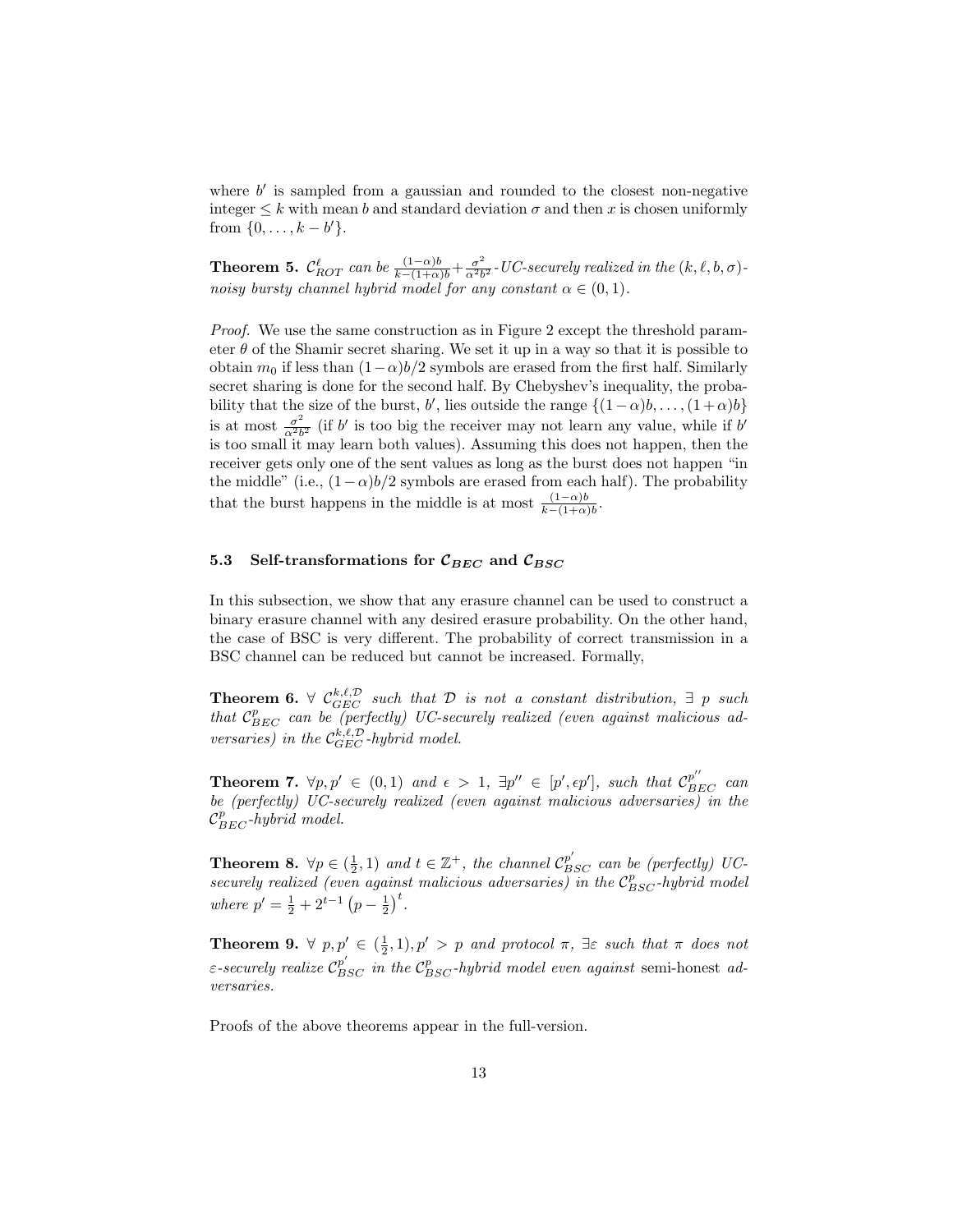where  $b'$  is sampled from a gaussian and rounded to the closest non-negative integer  $\leq k$  with mean b and standard deviation  $\sigma$  and then x is chosen uniformly from  $\{0, \ldots, k - b'\}.$ 

**Theorem 5.**  $\mathcal{C}_{ROT}^{\ell}$  can be  $\frac{(1-\alpha)b}{k-(1+\alpha)b}+\frac{\sigma^2}{\alpha^2b}$  $\frac{\sigma^2}{\alpha^2 b^2}$ -UC-securely realized in the  $(k, \ell, b, \sigma)$ noisy bursty channel hybrid model for any constant  $\alpha \in (0,1)$ .

Proof. We use the same construction as in Figure 2 except the threshold parameter  $\theta$  of the Shamir secret sharing. We set it up in a way so that it is possible to obtain  $m_0$  if less than  $(1-\alpha)b/2$  symbols are erased from the first half. Similarly secret sharing is done for the second half. By Chebyshev's inequality, the probability that the size of the burst, b', lies outside the range  $\{(1-\alpha)b, \ldots, (1+\alpha)b\}$ is at most  $\frac{\sigma^2}{\alpha^2 h}$  $\frac{\sigma^2}{\alpha^2 b^2}$  (if b' is too big the receiver may not learn any value, while if b' is too small it may learn both values). Assuming this does not happen, then the receiver gets only one of the sent values as long as the burst does not happen "in the middle" (i.e.,  $(1-\alpha)b/2$  symbols are erased from each half). The probability that the burst happens in the middle is at most  $\frac{(1-\alpha)b}{k-(1+\alpha)b}$ .

#### 5.3 Self-transformations for  $\mathcal{C}_{BEC}$  and  $\mathcal{C}_{BSC}$

In this subsection, we show that any erasure channel can be used to construct a binary erasure channel with any desired erasure probability. On the other hand, the case of BSC is very different. The probability of correct transmission in a BSC channel can be reduced but cannot be increased. Formally,

**Theorem 6.**  $\forall$   $\mathcal{C}_{GEC}^{k,\ell,\mathcal{D}}$  such that  $\mathcal{D}$  is not a constant distribution,  $\exists$  p such that  $C_{BEC}^{p}$  can be (perfectly) UC-securely realized (even against malicious adversaries) in the  $\mathcal{C}_{GEC}^{k,\ell,\mathcal{D}}$ -hybrid model.

**Theorem 7.**  $\forall p, p' \in (0,1)$  and  $\epsilon > 1$ ,  $\exists p'' \in [p', \epsilon p']$ , such that  $C_{BEC}^{p''}$  can be (perfectly) UC-securely realized (even against malicious adversaries) in the  $\mathcal{C}_{BEC}^{p}$ -hybrid model.

**Theorem 8.**  $\forall p \in (\frac{1}{2}, 1)$  and  $t \in \mathbb{Z}^+$ , the channel  $\mathcal{C}_{BSC}^{p'}$  can be (perfectly) UCsecurely realized (even against malicious adversaries) in the  $\mathcal{C}_{BSC}^{p}$ -hybrid model where  $p' = \frac{1}{2} + 2^{t-1} (p - \frac{1}{2})^t$ .

**Theorem 9.**  $\forall p, p' \in (\frac{1}{2}, 1), p' > p$  and protocol  $\pi$ ,  $\exists \varepsilon$  such that  $\pi$  does not *ε*-securely realize  $C_{BSC}^{p'}$  in the  $C_{BSC}^{p}$ -hybrid model even against semi-honest adversaries.

Proofs of the above theorems appear in the full-version.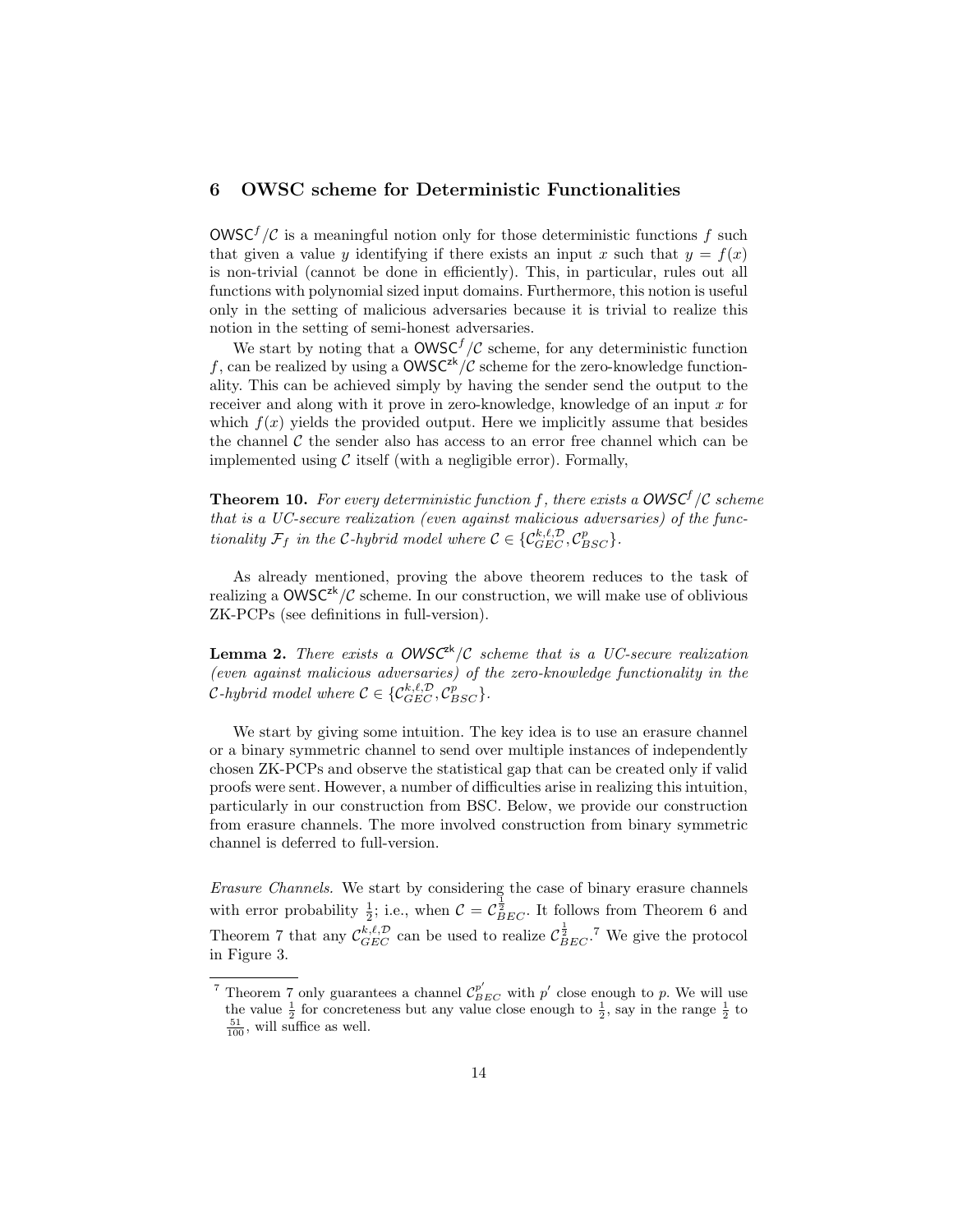## 6 OWSC scheme for Deterministic Functionalities

 $\text{OWSC}^f/\mathcal{C}$  is a meaningful notion only for those deterministic functions f such that given a value y identifying if there exists an input x such that  $y = f(x)$ is non-trivial (cannot be done in efficiently). This, in particular, rules out all functions with polynomial sized input domains. Furthermore, this notion is useful only in the setting of malicious adversaries because it is trivial to realize this notion in the setting of semi-honest adversaries.

We start by noting that a  $\text{OWSC}^f/\mathcal{C}$  scheme, for any deterministic function f, can be realized by using a  $OWSC^{z}/\mathcal{C}$  scheme for the zero-knowledge functionality. This can be achieved simply by having the sender send the output to the receiver and along with it prove in zero-knowledge, knowledge of an input x for which  $f(x)$  yields the provided output. Here we implicitly assume that besides the channel  $\mathcal C$  the sender also has access to an error free channel which can be implemented using  $\mathcal C$  itself (with a negligible error). Formally,

**Theorem 10.** For every deterministic function f, there exists a  $\text{OWSC}^f/\mathcal{C}$  scheme that is a UC-secure realization (even against malicious adversaries) of the functionality  $\mathcal{F}_f$  in the C-hybrid model where  $\mathcal{C} \in \{ \mathcal{C}_{GEC}^{k,\ell,\mathcal{D}}, \mathcal{C}_{BSC}^{p} \}.$ 

As already mentioned, proving the above theorem reduces to the task of realizing a  $OWSC^{2k}/C$  scheme. In our construction, we will make use of oblivious ZK-PCPs (see definitions in full-version).

**Lemma 2.** There exists a OWSC<sup>k</sup>/C scheme that is a UC-secure realization (even against malicious adversaries) of the zero-knowledge functionality in the  $\mathcal{C}\text{-}\textit{hybrid model where } \mathcal{C} \in \{ \mathcal{C}_{GEC}^{k,\ell,\mathcal{D}}, \mathcal{C}_{BSC}^{p} \}.$ 

We start by giving some intuition. The key idea is to use an erasure channel or a binary symmetric channel to send over multiple instances of independently chosen ZK-PCPs and observe the statistical gap that can be created only if valid proofs were sent. However, a number of difficulties arise in realizing this intuition, particularly in our construction from BSC. Below, we provide our construction from erasure channels. The more involved construction from binary symmetric channel is deferred to full-version.

Erasure Channels. We start by considering the case of binary erasure channels with error probability  $\frac{1}{2}$ ; i.e., when  $C = C_{BEC}^{\frac{1}{2}}$ . It follows from Theorem 6 and Theorem 7 that any  $\mathcal{C}_{GEC}^{k,\ell,\mathcal{D}}$  can be used to realize  $\mathcal{C}_{BEC}^{\frac{1}{2}}$ . We give the protocol in Figure 3.

<sup>&</sup>lt;sup>7</sup> Theorem 7 only guarantees a channel  $C_{BEC}^{p'}$  with p' close enough to p. We will use the value  $\frac{1}{2}$  for concreteness but any value close enough to  $\frac{1}{2}$ , say in the range  $\frac{1}{2}$  to  $\frac{51}{100}$ , will suffice as well.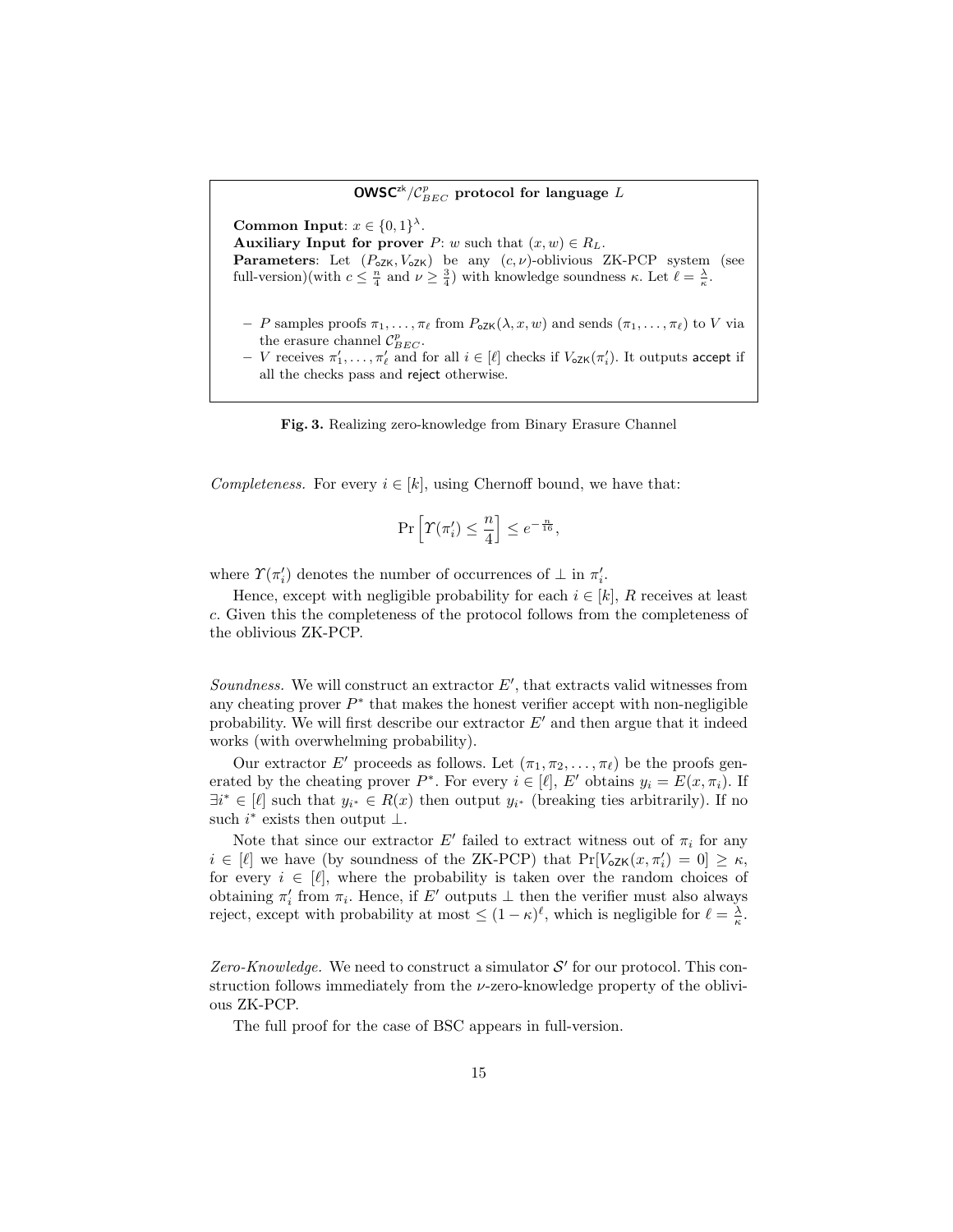$\mathsf{OWSC}^\mathsf{zk}/\mathcal{C}_{BEC}^p$  protocol for language  $L$ 

Common Input:  $x \in \{0,1\}^{\lambda}$ .

Auxiliary Input for prover P: w such that  $(x, w) \in R_L$ .

**Parameters:** Let  $(P_{oZK}, V_{oZK})$  be any  $(c, \nu)$ -oblivious ZK-PCP system (see full-version)(with  $c \leq \frac{n}{4}$  and  $\nu \geq \frac{3}{4}$ ) with knowledge soundness  $\kappa$ . Let  $\ell = \frac{\lambda}{\kappa}$ .

- P samples proofs  $\pi_1, \ldots, \pi_\ell$  from  $P_{oZK}(\lambda, x, w)$  and sends  $(\pi_1, \ldots, \pi_\ell)$  to V via the erasure channel  $C_{BEC}^p$ .
- $-$  V receives  $\pi'_1, \ldots, \pi'_\ell$  and for all  $i \in [\ell]$  checks if  $V_{oZK}(\pi'_i)$ . It outputs accept if all the checks pass and reject otherwise.



Completeness. For every  $i \in [k]$ , using Chernoff bound, we have that:

$$
\Pr\left[\Upsilon(\pi'_i) \leq \frac{n}{4}\right] \leq e^{-\frac{n}{16}},
$$

where  $\Upsilon(\pi'_i)$  denotes the number of occurrences of  $\perp$  in  $\pi'_i$ .

Hence, except with negligible probability for each  $i \in [k]$ , R receives at least c. Given this the completeness of the protocol follows from the completeness of the oblivious ZK-PCP.

Soundness. We will construct an extractor  $E'$ , that extracts valid witnesses from any cheating prover  $P^*$  that makes the honest verifier accept with non-negligible probability. We will first describe our extractor  $E'$  and then argue that it indeed works (with overwhelming probability).

Our extractor E' proceeds as follows. Let  $(\pi_1, \pi_2, \ldots, \pi_\ell)$  be the proofs generated by the cheating prover  $P^*$ . For every  $i \in [\ell], E'$  obtains  $y_i = E(x, \pi_i)$ . If  $\exists i^* \in [\ell]$  such that  $y_{i^*} \in R(x)$  then output  $y_{i^*}$  (breaking ties arbitrarily). If no such  $i^*$  exists then output  $\perp$ .

Note that since our extractor  $E'$  failed to extract witness out of  $\pi_i$  for any  $i \in [\ell]$  we have (by soundness of the ZK-PCP) that  $Pr[V_{oZK}(x, \pi'_i) = 0] \geq \kappa$ , for every  $i \in [\ell]$ , where the probability is taken over the random choices of obtaining  $\pi'_i$  from  $\pi_i$ . Hence, if E' outputs  $\perp$  then the verifier must also always reject, except with probability at most  $\leq (1 - \kappa)^{\ell}$ , which is negligible for  $\ell = \frac{\lambda}{\kappa}$ .

Zero-Knowledge. We need to construct a simulator  $\mathcal{S}'$  for our protocol. This construction follows immediately from the  $\nu$ -zero-knowledge property of the oblivious ZK-PCP.

The full proof for the case of BSC appears in full-version.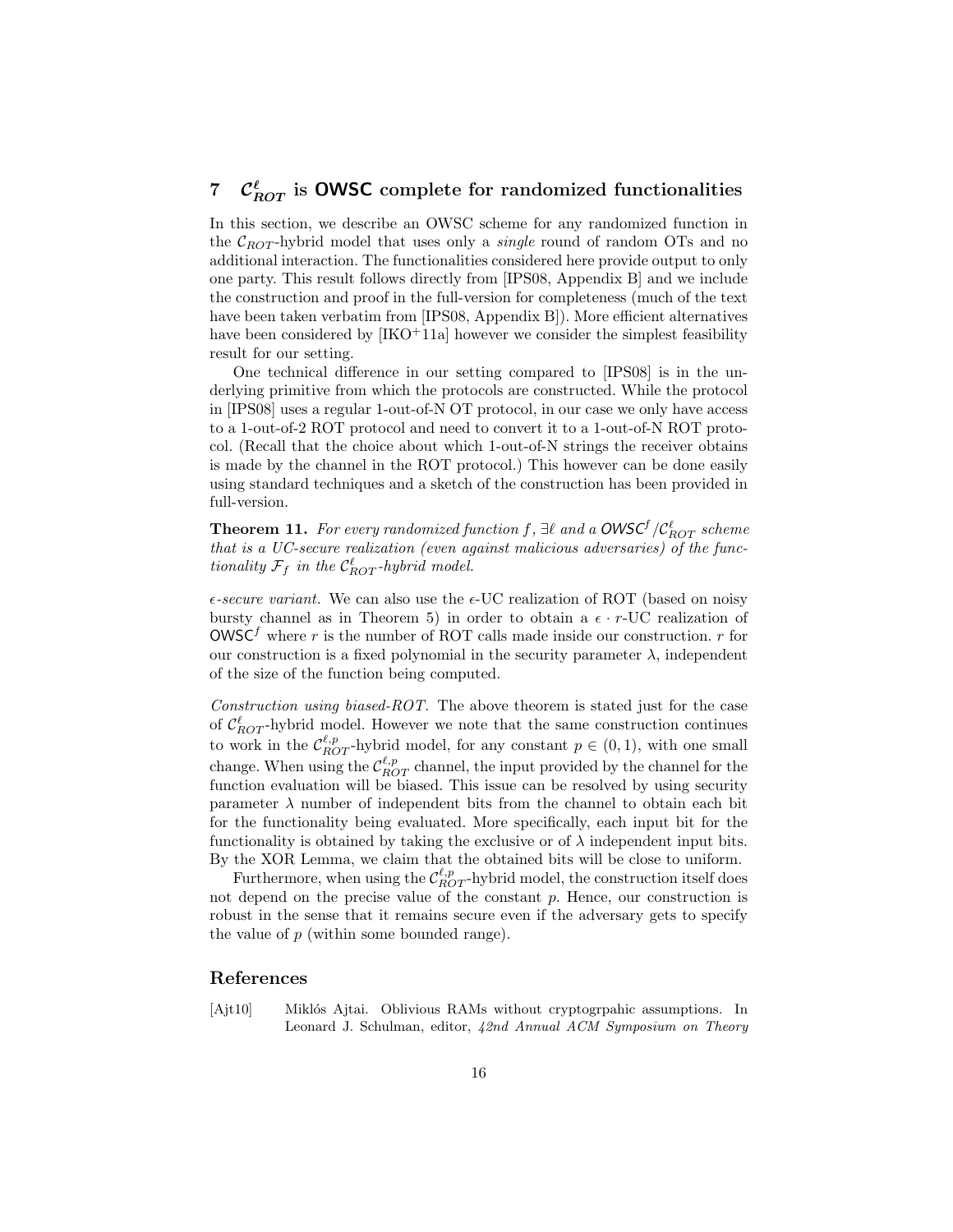# $7 \quad \mathcal{C}_{ROT}^{\ell}$  is OWSC complete for randomized functionalities

In this section, we describe an OWSC scheme for any randomized function in the  $\mathcal{C}_{ROT}$ -hybrid model that uses only a *single* round of random OTs and no additional interaction. The functionalities considered here provide output to only one party. This result follows directly from [IPS08, Appendix B] and we include the construction and proof in the full-version for completeness (much of the text have been taken verbatim from [IPS08, Appendix B]). More efficient alternatives have been considered by  $[IKO+11a]$  however we consider the simplest feasibility result for our setting.

One technical difference in our setting compared to [IPS08] is in the underlying primitive from which the protocols are constructed. While the protocol in [IPS08] uses a regular 1-out-of-N OT protocol, in our case we only have access to a 1-out-of-2 ROT protocol and need to convert it to a 1-out-of-N ROT protocol. (Recall that the choice about which 1-out-of-N strings the receiver obtains is made by the channel in the ROT protocol.) This however can be done easily using standard techniques and a sketch of the construction has been provided in full-version.

**Theorem 11.** For every randomized function f,  $\exists \ell$  and a  $\mathsf{OWSC}^f/\mathcal{C}_{ROT}^{\ell}$  scheme that is a UC-secure realization (even against malicious adversaries) of the functionality  $\mathcal{F}_f$  in the  $\mathcal{C}_{ROT}^{\ell}$ -hybrid model.

 $\epsilon$ -secure variant. We can also use the  $\epsilon$ -UC realization of ROT (based on noisy bursty channel as in Theorem 5) in order to obtain a  $\epsilon \cdot r$ -UC realization of  $\text{OWSC}^f$  where r is the number of ROT calls made inside our construction. r for our construction is a fixed polynomial in the security parameter  $\lambda$ , independent of the size of the function being computed.

Construction using biased-ROT. The above theorem is stated just for the case of  $\mathcal{C}_{ROT}^{\ell}$ -hybrid model. However we note that the same construction continues to work in the  $\mathcal{C}_{ROT}^{\ell,p}$ -hybrid model, for any constant  $p \in (0,1)$ , with one small change. When using the  $\mathcal{C}_{ROT}^{\ell,p}$  channel, the input provided by the channel for the function evaluation will be biased. This issue can be resolved by using security parameter  $\lambda$  number of independent bits from the channel to obtain each bit for the functionality being evaluated. More specifically, each input bit for the functionality is obtained by taking the exclusive or of  $\lambda$  independent input bits. By the XOR Lemma, we claim that the obtained bits will be close to uniform.

Furthermore, when using the  $\mathcal{C}_{ROT}^{\ell,p}$ -hybrid model, the construction itself does not depend on the precise value of the constant  $p$ . Hence, our construction is robust in the sense that it remains secure even if the adversary gets to specify the value of  $p$  (within some bounded range).

#### References

[Ajt10] Miklós Ajtai. Oblivious RAMs without cryptogrpahic assumptions. In Leonard J. Schulman, editor, 42nd Annual ACM Symposium on Theory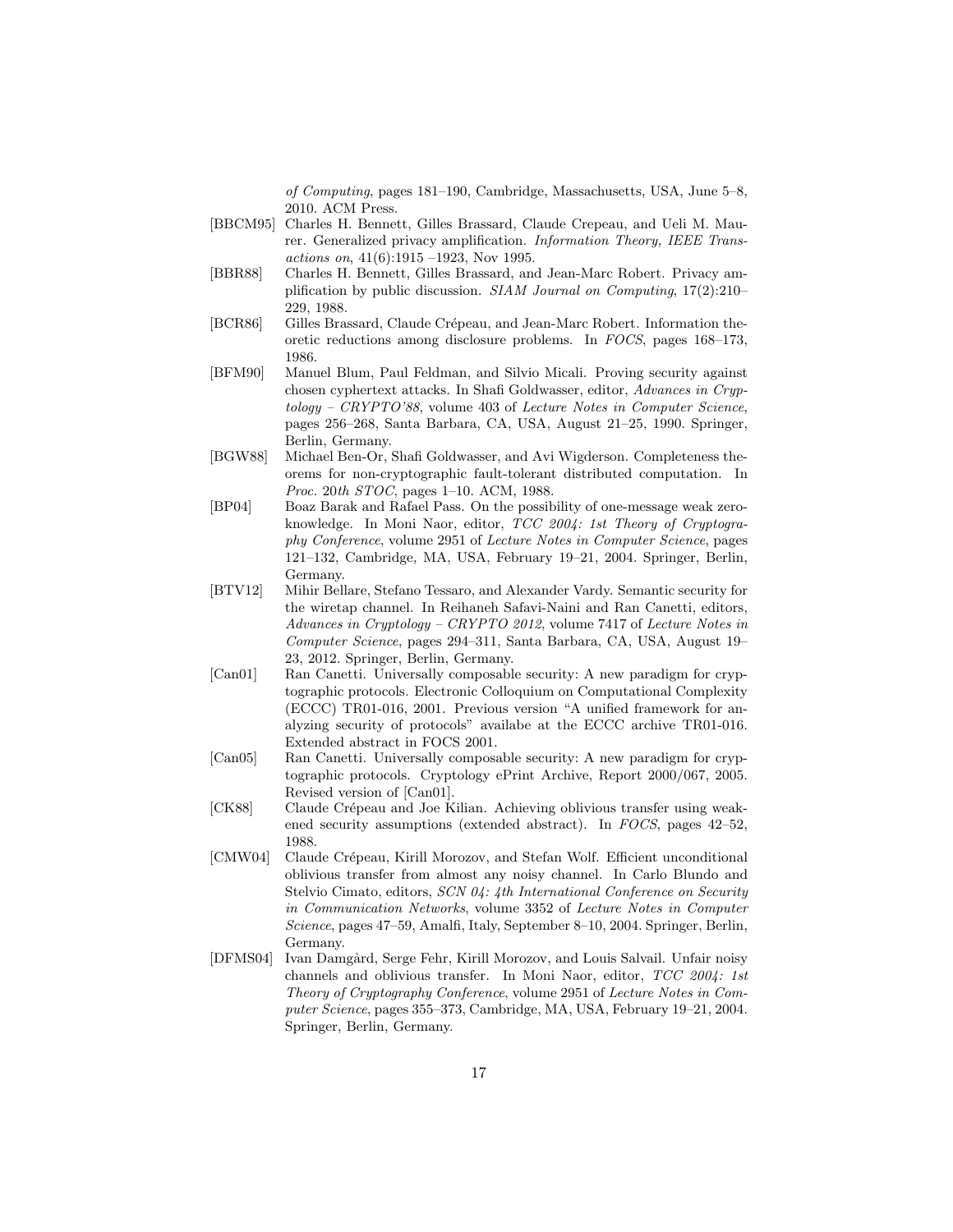of Computing, pages 181–190, Cambridge, Massachusetts, USA, June 5–8, 2010. ACM Press.

- [BBCM95] Charles H. Bennett, Gilles Brassard, Claude Crepeau, and Ueli M. Maurer. Generalized privacy amplification. Information Theory, IEEE Transactions on, 41(6):1915 –1923, Nov 1995.
- [BBR88] Charles H. Bennett, Gilles Brassard, and Jean-Marc Robert. Privacy amplification by public discussion. SIAM Journal on Computing, 17(2):210– 229, 1988.
- [BCR86] Gilles Brassard, Claude Crépeau, and Jean-Marc Robert. Information theoretic reductions among disclosure problems. In FOCS, pages 168–173, 1986.
- [BFM90] Manuel Blum, Paul Feldman, and Silvio Micali. Proving security against chosen cyphertext attacks. In Shafi Goldwasser, editor, Advances in Cryp $toloqu - CRYPTO'88$ , volume 403 of Lecture Notes in Computer Science, pages 256–268, Santa Barbara, CA, USA, August 21–25, 1990. Springer, Berlin, Germany.
- [BGW88] Michael Ben-Or, Shafi Goldwasser, and Avi Wigderson. Completeness theorems for non-cryptographic fault-tolerant distributed computation. In Proc. 20th STOC, pages 1–10. ACM, 1988.
- [BP04] Boaz Barak and Rafael Pass. On the possibility of one-message weak zeroknowledge. In Moni Naor, editor, TCC 2004: 1st Theory of Cryptography Conference, volume 2951 of Lecture Notes in Computer Science, pages 121–132, Cambridge, MA, USA, February 19–21, 2004. Springer, Berlin, Germany.
- [BTV12] Mihir Bellare, Stefano Tessaro, and Alexander Vardy. Semantic security for the wiretap channel. In Reihaneh Safavi-Naini and Ran Canetti, editors, Advances in Cryptology – CRYPTO 2012, volume 7417 of Lecture Notes in Computer Science, pages 294–311, Santa Barbara, CA, USA, August 19– 23, 2012. Springer, Berlin, Germany.
- [Can01] Ran Canetti. Universally composable security: A new paradigm for cryptographic protocols. Electronic Colloquium on Computational Complexity (ECCC) TR01-016, 2001. Previous version "A unified framework for analyzing security of protocols" availabe at the ECCC archive TR01-016. Extended abstract in FOCS 2001.
- [Can05] Ran Canetti. Universally composable security: A new paradigm for cryptographic protocols. Cryptology ePrint Archive, Report 2000/067, 2005. Revised version of [Can01].
- [CK88] Claude Crépeau and Joe Kilian. Achieving oblivious transfer using weakened security assumptions (extended abstract). In FOCS, pages 42–52, 1988.
- [CMW04] Claude Crépeau, Kirill Morozov, and Stefan Wolf. Efficient unconditional oblivious transfer from almost any noisy channel. In Carlo Blundo and Stelvio Cimato, editors, SCN 04: 4th International Conference on Security in Communication Networks, volume 3352 of Lecture Notes in Computer Science, pages 47–59, Amalfi, Italy, September 8–10, 2004. Springer, Berlin, Germany.
- [DFMS04] Ivan Damgård, Serge Fehr, Kirill Morozov, and Louis Salvail. Unfair noisy channels and oblivious transfer. In Moni Naor, editor, TCC 2004: 1st Theory of Cryptography Conference, volume 2951 of Lecture Notes in Computer Science, pages 355–373, Cambridge, MA, USA, February 19–21, 2004. Springer, Berlin, Germany.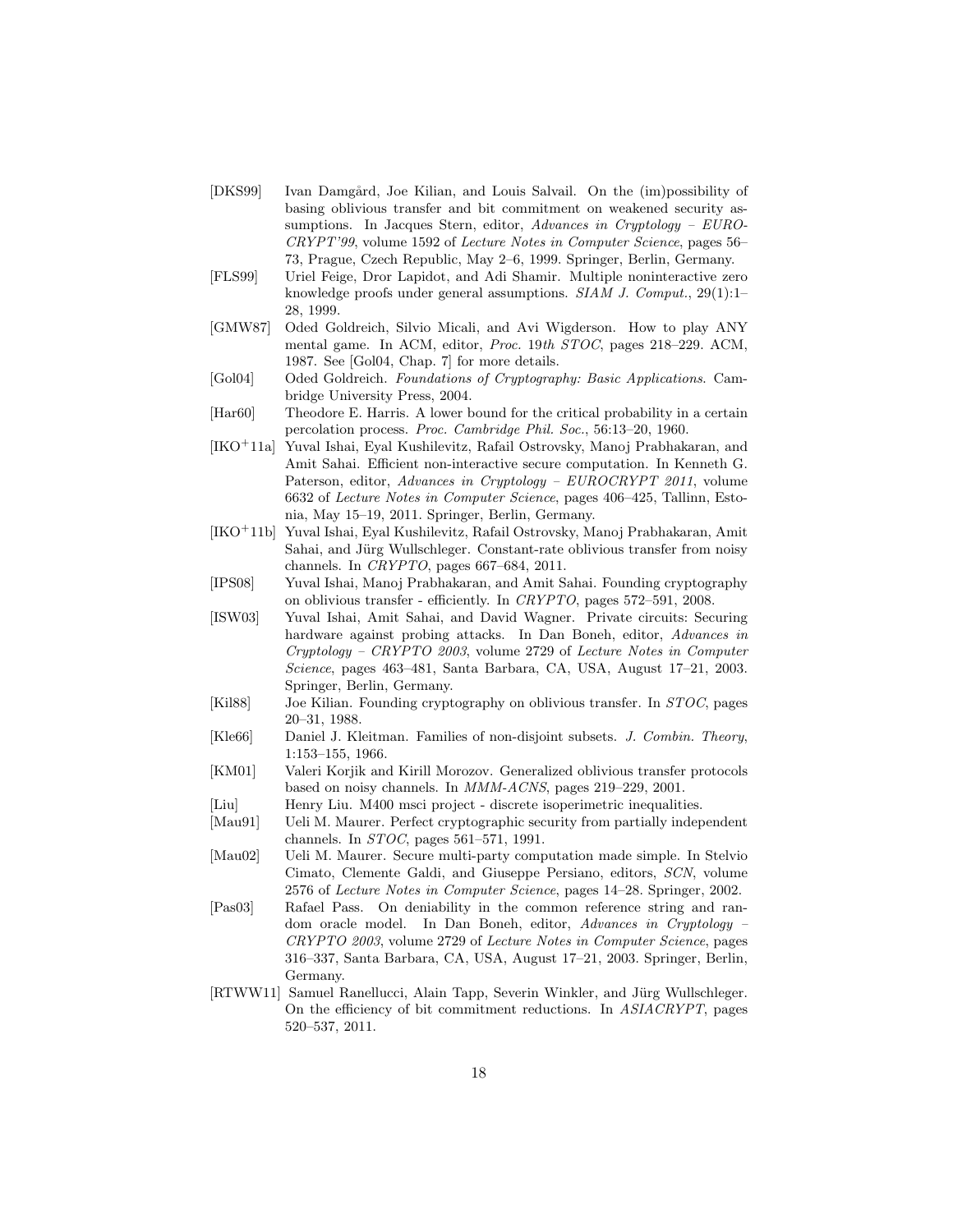- [DKS99] Ivan Damgård, Joe Kilian, and Louis Salvail. On the (im)possibility of basing oblivious transfer and bit commitment on weakened security assumptions. In Jacques Stern, editor, Advances in Cryptology – EURO-CRYPT'99, volume 1592 of Lecture Notes in Computer Science, pages 56– 73, Prague, Czech Republic, May 2–6, 1999. Springer, Berlin, Germany.
- [FLS99] Uriel Feige, Dror Lapidot, and Adi Shamir. Multiple noninteractive zero knowledge proofs under general assumptions. SIAM J. Comput., 29(1):1– 28, 1999.
- [GMW87] Oded Goldreich, Silvio Micali, and Avi Wigderson. How to play ANY mental game. In ACM, editor, *Proc.* 19th STOC, pages 218–229. ACM, 1987. See [Gol04, Chap. 7] for more details.
- [Gol04] Oded Goldreich. Foundations of Cryptography: Basic Applications. Cambridge University Press, 2004.
- [Har60] Theodore E. Harris. A lower bound for the critical probability in a certain percolation process. Proc. Cambridge Phil. Soc., 56:13–20, 1960.
- [IKO<sup>+</sup>11a] Yuval Ishai, Eyal Kushilevitz, Rafail Ostrovsky, Manoj Prabhakaran, and Amit Sahai. Efficient non-interactive secure computation. In Kenneth G. Paterson, editor, Advances in Cryptology – EUROCRYPT 2011, volume 6632 of Lecture Notes in Computer Science, pages 406–425, Tallinn, Estonia, May 15–19, 2011. Springer, Berlin, Germany.
- [IKO<sup>+</sup>11b] Yuval Ishai, Eyal Kushilevitz, Rafail Ostrovsky, Manoj Prabhakaran, Amit Sahai, and Jürg Wullschleger. Constant-rate oblivious transfer from noisy channels. In CRYPTO, pages 667–684, 2011.
- [IPS08] Yuval Ishai, Manoj Prabhakaran, and Amit Sahai. Founding cryptography on oblivious transfer - efficiently. In CRYPTO, pages 572–591, 2008.
- [ISW03] Yuval Ishai, Amit Sahai, and David Wagner. Private circuits: Securing hardware against probing attacks. In Dan Boneh, editor, Advances in Cryptology – CRYPTO 2003, volume 2729 of Lecture Notes in Computer Science, pages 463–481, Santa Barbara, CA, USA, August 17–21, 2003. Springer, Berlin, Germany.
- [Kil88] Joe Kilian. Founding cryptography on oblivious transfer. In STOC, pages 20–31, 1988.
- [Kle66] Daniel J. Kleitman. Families of non-disjoint subsets. J. Combin. Theory, 1:153–155, 1966.
- [KM01] Valeri Korjik and Kirill Morozov. Generalized oblivious transfer protocols based on noisy channels. In MMM-ACNS, pages 219–229, 2001.
- [Liu] Henry Liu. M400 msci project discrete isoperimetric inequalities.
- [Mau91] Ueli M. Maurer. Perfect cryptographic security from partially independent channels. In STOC, pages 561–571, 1991.
- [Mau02] Ueli M. Maurer. Secure multi-party computation made simple. In Stelvio Cimato, Clemente Galdi, and Giuseppe Persiano, editors, SCN, volume 2576 of Lecture Notes in Computer Science, pages 14–28. Springer, 2002.
- [Pas03] Rafael Pass. On deniability in the common reference string and random oracle model. In Dan Boneh, editor, Advances in Cryptology – CRYPTO 2003, volume 2729 of Lecture Notes in Computer Science, pages 316–337, Santa Barbara, CA, USA, August 17–21, 2003. Springer, Berlin, Germany.
- [RTWW11] Samuel Ranellucci, Alain Tapp, Severin Winkler, and Jürg Wullschleger. On the efficiency of bit commitment reductions. In ASIACRYPT, pages 520–537, 2011.